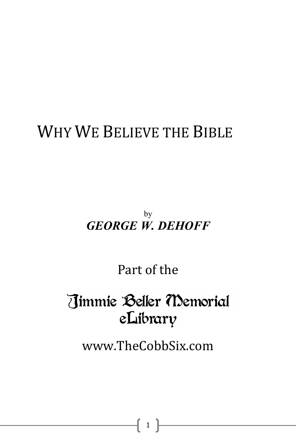# WHY WE BELIEVE THE BIBLE

### by *GEORGE W. DEHOFF*

## Part of the

# Jimmie Beller Memorial eLibrary

www.TheCobbSix.com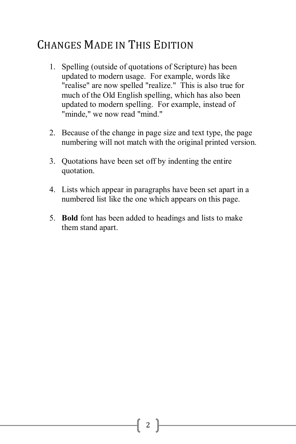### CHANGES MADE IN THIS EDITION

- 1. Spelling (outside of quotations of Scripture) has been updated to modern usage. For example, words like "realise" are now spelled "realize." This is also true for much of the Old English spelling, which has also been updated to modern spelling. For example, instead of "minde," we now read "mind."
- 2. Because of the change in page size and text type, the page numbering will not match with the original printed version.
- 3. Quotations have been set off by indenting the entire quotation.
- 4. Lists which appear in paragraphs have been set apart in a numbered list like the one which appears on this page.
- 5. **Bold** font has been added to headings and lists to make them stand apart.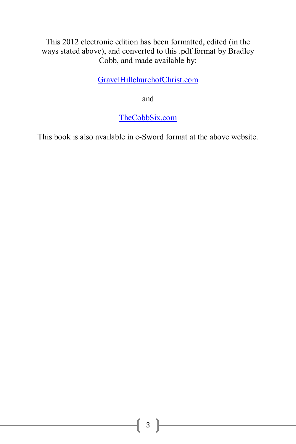This 2012 electronic edition has been formatted, edited (in the ways stated above), and converted to this .pdf format by Bradley Cobb, and made available by:

[GravelHillchurchofChrist.com](http://www.gravelhillchurchofchrist.com/)

and

[TheCobbSix.com](http://www.thecobbsix.com/)

This book is also available in e-Sword format at the above website.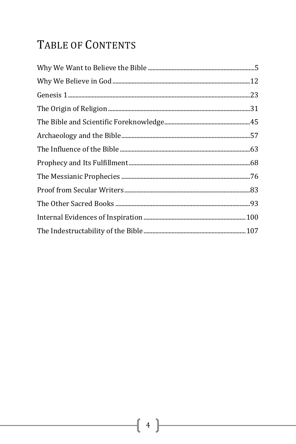# TABLE OF CONTENTS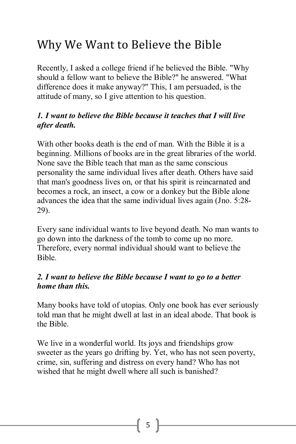## <span id="page-4-0"></span>Why We Want to Believe the Bible

Recently, I asked a college friend if he believed the Bible. "Why should a fellow want to believe the Bible?" he answered. "What difference does it make anyway?" This, I am persuaded, is the attitude of many, so I give attention to his question.

#### *1. I want to believe the Bible because it teaches that I will live after death.*

With other books death is the end of man. With the Bible it is a beginning. Millions of books are in the great libraries of the world. None save the Bible teach that man as the same conscious personality the same individual lives after death. Others have said that man's goodness lives on, or that his spirit is reincarnated and becomes a rock, an insect, a cow or a donkey but the Bible alone advances the idea that the same individual lives again (Jno. 5:28- 29).

Every sane individual wants to live beyond death. No man wants to go down into the darkness of the tomb to come up no more. Therefore, every normal individual should want to believe the Bible.

#### *2. I want to believe the Bible because I want to go to a better home than this.*

Many books have told of utopias. Only one book has ever seriously told man that he might dwell at last in an ideal abode. That book is the Bible.

We live in a wonderful world. Its joys and friendships grow sweeter as the years go drifting by. Yet, who has not seen poverty, crime, sin, suffering and distress on every hand? Who has not wished that he might dwell where all such is banished?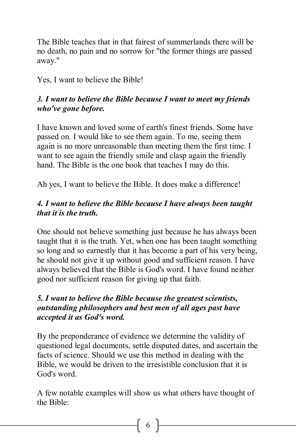The Bible teaches that in that fairest of summerlands there will be no death, no pain and no sorrow for "the former things are passed away."

Yes, I want to believe the Bible!

#### *3. I want to believe the Bible because I want to meet my friends who've gone before.*

I have known and loved some of earth's finest friends. Some have passed on. I would like to see them again. To me, seeing them again is no more unreasonable than meeting them the first time. I want to see again the friendly smile and clasp again the friendly hand. The Bible is the one book that teaches I may do this.

Ah yes, I want to believe the Bible. It does make a difference!

#### *4. I want to believe the Bible because I have always been taught that it is the truth.*

One should not believe something just because he has always been taught that it is the truth. Yet, when one has been taught something so long and so earnestly that it has become a part of his very being, he should not give it up without good and sufficient reason. I have always believed that the Bible is God's word. I have found neither good nor sufficient reason for giving up that faith.

#### *5. I want to believe the Bible because the greatest scientists, outstanding philosophers and best men of all ages past have accepted it as God's word.*

By the preponderance of evidence we determine the validity of questioned legal documents, settle disputed dates, and ascertain the facts of science. Should we use this method in dealing with the Bible, we would be driven to the irresistible conclusion that it is God's word.

A few notable examples will show us what others have thought of the Bible: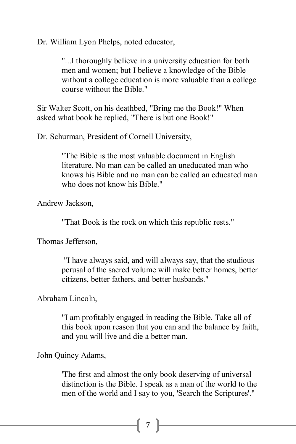Dr. William Lyon Phelps, noted educator,

"...I thoroughly believe in a university education for both men and women; but I believe a knowledge of the Bible without a college education is more valuable than a college course without the Bible."

Sir Walter Scott, on his deathbed, "Bring me the Book!" When asked what book he replied, "There is but one Book!"

Dr. Schurman, President of Cornell University,

"The Bible is the most valuable document in English literature. No man can be called an uneducated man who knows his Bible and no man can be called an educated man who does not know his Bible."

Andrew Jackson,

"That Book is the rock on which this republic rests."

Thomas Jefferson,

"I have always said, and will always say, that the studious perusal of the sacred volume will make better homes, better citizens, better fathers, and better husbands."

Abraham Lincoln,

"I am profitably engaged in reading the Bible. Take all of this book upon reason that you can and the balance by faith, and you will live and die a better man.

John Quincy Adams,

'The first and almost the only book deserving of universal distinction is the Bible. I speak as a man of the world to the men of the world and I say to you, 'Search the Scriptures'."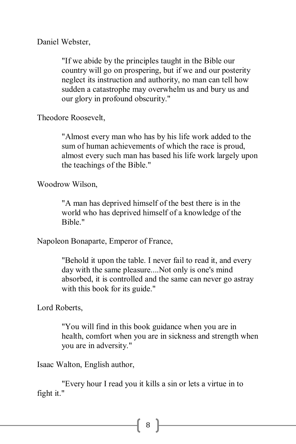Daniel Webster,

"If we abide by the principles taught in the Bible our country will go on prospering, but if we and our posterity neglect its instruction and authority, no man can tell how sudden a catastrophe may overwhelm us and bury us and our glory in profound obscurity."

Theodore Roosevelt,

"Almost every man who has by his life work added to the sum of human achievements of which the race is proud, almost every such man has based his life work largely upon the teachings of the Bible."

Woodrow Wilson,

"A man has deprived himself of the best there is in the world who has deprived himself of a knowledge of the Bible."

Napoleon Bonaparte, Emperor of France,

"Behold it upon the table. I never fail to read it, and every day with the same pleasure....Not only is one's mind absorbed, it is controlled and the same can never go astray with this book for its guide."

Lord Roberts,

"You will find in this book guidance when you are in health, comfort when you are in sickness and strength when you are in adversity."

Isaac Walton, English author,

"Every hour I read you it kills a sin or lets a virtue in to fight it."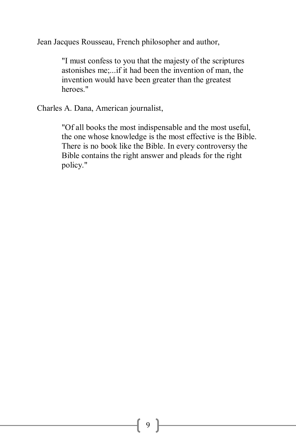Jean Jacques Rousseau, French philosopher and author,

"I must confess to you that the majesty of the scriptures astonishes me;...if it had been the invention of man, the invention would have been greater than the greatest heroes."

Charles A. Dana, American journalist,

"Of all books the most indispensable and the most useful, the one whose knowledge is the most effective is the Bible. There is no book like the Bible. In every controversy the Bible contains the right answer and pleads for the right policy."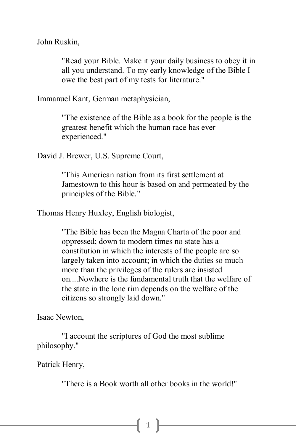John Ruskin,

"Read your Bible. Make it your daily business to obey it in all you understand. To my early knowledge of the Bible I owe the best part of my tests for literature."

Immanuel Kant, German metaphysician,

"The existence of the Bible as a book for the people is the greatest benefit which the human race has ever experienced."

David J. Brewer, U.S. Supreme Court,

"This American nation from its first settlement at Jamestown to this hour is based on and permeated by the principles of the Bible."

Thomas Henry Huxley, English biologist,

"The Bible has been the Magna Charta of the poor and oppressed; down to modern times no state has a constitution in which the interests of the people are so largely taken into account; in which the duties so much more than the privileges of the rulers are insisted on....Nowhere is the fundamental truth that the welfare of the state in the lone rim depends on the welfare of the citizens so strongly laid down."

Isaac Newton,

"I account the scriptures of God the most sublime philosophy."

Patrick Henry,

"There is a Book worth all other books in the world!"

1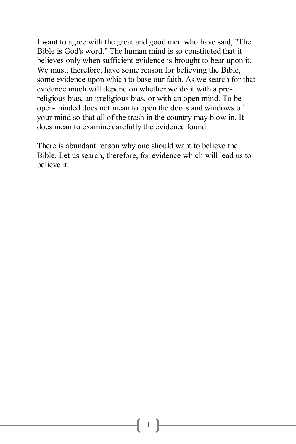I want to agree with the great and good men who have said, "The Bible is God's word." The human mind is so constituted that it believes only when sufficient evidence is brought to bear upon it. We must, therefore, have some reason for believing the Bible, some evidence upon which to base our faith. As we search for that evidence much will depend on whether we do it with a proreligious bias, an irreligious bias, or with an open mind. To be open-minded does not mean to open the doors and windows of your mind so that all of the trash in the country may blow in. It does mean to examine carefully the evidence found.

There is abundant reason why one should want to believe the Bible. Let us search, therefore, for evidence which will lead us to believe it.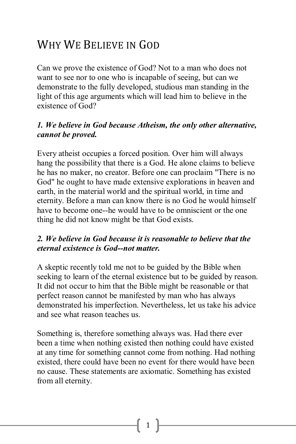## <span id="page-11-0"></span>WHY WE BELIEVE IN GOD

Can we prove the existence of God? Not to a man who does not want to see nor to one who is incapable of seeing, but can we demonstrate to the fully developed, studious man standing in the light of this age arguments which will lead him to believe in the existence of God?

#### *1. We believe in God because Atheism, the only other alternative, cannot be proved.*

Every atheist occupies a forced position. Over him will always hang the possibility that there is a God. He alone claims to believe he has no maker, no creator. Before one can proclaim "There is no God" he ought to have made extensive explorations in heaven and earth, in the material world and the spiritual world, in time and eternity. Before a man can know there is no God he would himself have to become one--he would have to be omniscient or the one thing he did not know might be that God exists.

#### *2. We believe in God because it is reasonable to believe that the eternal existence is God--not matter.*

A skeptic recently told me not to be guided by the Bible when seeking to learn of the eternal existence but to be guided by reason. It did not occur to him that the Bible might be reasonable or that perfect reason cannot be manifested by man who has always demonstrated his imperfection. Nevertheless, let us take his advice and see what reason teaches us.

Something is, therefore something always was. Had there ever been a time when nothing existed then nothing could have existed at any time for something cannot come from nothing. Had nothing existed, there could have been no event for there would have been no cause. These statements are axiomatic. Something has existed from all eternity.

1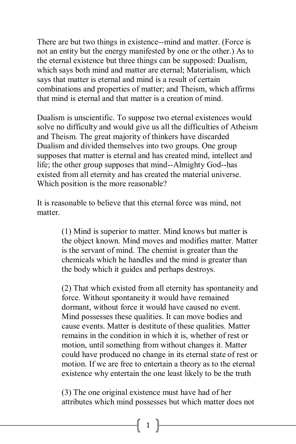There are but two things in existence--mind and matter. (Force is not an entity but the energy manifested by one or the other.) As to the eternal existence but three things can be supposed: Dualism, which says both mind and matter are eternal; Materialism, which says that matter is eternal and mind is a result of certain combinations and properties of matter; and Theism, which affirms that mind is eternal and that matter is a creation of mind.

Dualism is unscientific. To suppose two eternal existences would solve no difficulty and would give us all the difficulties of Atheism and Theism. The great majority of thinkers have discarded Dualism and divided themselves into two groups. One group supposes that matter is eternal and has created mind, intellect and life; the other group supposes that mind--Almighty God--has existed from all eternity and has created the material universe. Which position is the more reasonable?

It is reasonable to believe that this eternal force was mind, not matter.

> (1) Mind is superior to matter. Mind knows but matter is the object known. Mind moves and modifies matter. Matter is the servant of mind. The chemist is greater than the chemicals which he handles and the mind is greater than the body which it guides and perhaps destroys.

> (2) That which existed from all eternity has spontaneity and force. Without spontaneity it would have remained dormant, without force it would have caused no event. Mind possesses these qualities. It can move bodies and cause events. Matter is destitute of these qualities. Matter remains in the condition in which it is, whether of rest or motion, until something from without changes it. Matter could have produced no change in its eternal state of rest or motion. If we are free to entertain a theory as to the eternal existence why entertain the one least likely to be the truth

(3) The one original existence must have had of her attributes which mind possesses but which matter does not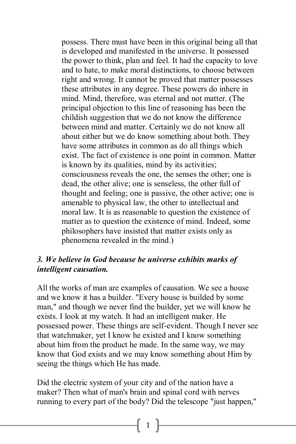possess. There must have been in this original being all that is developed and manifested in the universe. It possessed the power to think, plan and feel. It had the capacity to love and to hate, to make moral distinctions, to choose between right and wrong. It cannot be proved that matter possesses these attributes in any degree. These powers do inhere in mind. Mind, therefore, was eternal and not matter. (The principal objection to this line of reasoning has been the childish suggestion that we do not know the difference between mind and matter. Certainly we do not know all about either but we do know something about both. They have some attributes in common as do all things which exist. The fact of existence is one point in common. Matter is known by its qualities, mind by its activities; consciousness reveals the one, the senses the other; one is dead, the other alive; one is senseless, the other full of thought and feeling; one is passive, the other active; one is amenable to physical law, the other to intellectual and moral law. It is as reasonable to question the existence of matter as to question the existence of mind. Indeed, some philosophers have insisted that matter exists only as phenomena revealed in the mind.)

#### *3. We believe in God because be universe exhibits marks of intelligent causation.*

All the works of man are examples of causation. We see a house and we know it has a builder. "Every house is builded by some man," and though we never find the builder, yet we will know he exists. I look at my watch. It had an intelligent maker. He possessed power. These things are self-evident. Though I never see that watchmaker, yet I know he existed and I know something about him from the product he made. In the same way, we may know that God exists and we may know something about Him by seeing the things which He has made.

Did the electric system of your city and of the nation have a maker? Then what of man's brain and spinal cord with nerves running to every part of the body? Did the telescope "just happen,"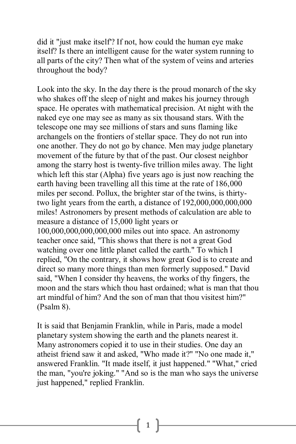did it "just make itself'? If not, how could the human eye make itself? Is there an intelligent cause for the water system running to all parts of the city? Then what of the system of veins and arteries throughout the body?

Look into the sky. In the day there is the proud monarch of the sky who shakes off the sleep of night and makes his journey through space. He operates with mathematical precision. At night with the naked eye one may see as many as six thousand stars. With the telescope one may see millions of stars and suns flaming like archangels on the frontiers of stellar space. They do not run into one another. They do not go by chance. Men may judge planetary movement of the future by that of the past. Our closest neighbor among the starry host is twenty-five trillion miles away. The light which left this star (Alpha) five years ago is just now reaching the earth having been travelling all this time at the rate of 186,000 miles per second. Pollux, the brighter star of the twins, is thirtytwo light years from the earth, a distance of 192,000,000,000,000 miles! Astronomers by present methods of calculation are able to measure a distance of 15,000 light years or 100,000,000,000,000,000 miles out into space. An astronomy teacher once said, "This shows that there is not a great God watching over one little planet called the earth." To which I replied, "On the contrary, it shows how great God is to create and direct so many more things than men formerly supposed." David said, "When I consider thy heavens, the works of thy fingers, the moon and the stars which thou hast ordained; what is man that thou art mindful of him? And the son of man that thou visitest him?" (Psalm 8).

It is said that Benjamin Franklin, while in Paris, made a model planetary system showing the earth and the planets nearest it. Many astronomers copied it to use in their studies. One day an atheist friend saw it and asked, "Who made it?" "No one made it," answered Franklin. "It made itself, it just happened." "What," cried the man, "you're joking." "And so is the man who says the universe just happened," replied Franklin.

1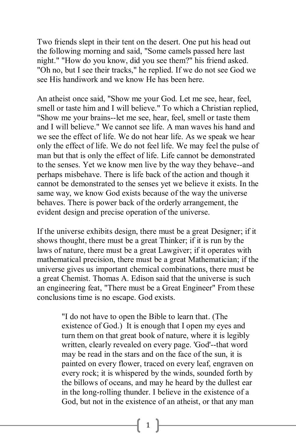Two friends slept in their tent on the desert. One put his head out the following morning and said, "Some camels passed here last night." "How do you know, did you see them?" his friend asked. "Oh no, but I see their tracks," he replied. If we do not see God we see His handiwork and we know He has been here.

An atheist once said, "Show me your God. Let me see, hear, feel, smell or taste him and I will believe." To which a Christian replied, "Show me your brains--let me see, hear, feel, smell or taste them and I will believe." We cannot see life. A man waves his hand and we see the effect of life. We do not hear life. As we speak we hear only the effect of life. We do not feel life. We may feel the pulse of man but that is only the effect of life. Life cannot be demonstrated to the senses. Yet we know men live by the way they behave--and perhaps misbehave. There is life back of the action and though it cannot be demonstrated to the senses yet we believe it exists. In the same way, we know God exists because of the way the universe behaves. There is power back of the orderly arrangement, the evident design and precise operation of the universe.

If the universe exhibits design, there must be a great Designer; if it shows thought, there must be a great Thinker; if it is run by the laws of nature, there must be a great Lawgiver; if it operates with mathematical precision, there must be a great Mathematician; if the universe gives us important chemical combinations, there must be a great Chemist. Thomas A. Edison said that the universe is such an engineering feat, "There must be a Great Engineer" From these conclusions time is no escape. God exists.

> "I do not have to open the Bible to learn that. (The existence of God.) It is enough that I open my eyes and turn them on that great book of nature, where it is legibly written, clearly revealed on every page. 'God'--that word may be read in the stars and on the face of the sun, it is painted on every flower, traced on every leaf, engraven on every rock; it is whispered by the winds, sounded forth by the billows of oceans, and may he heard by the dullest ear in the long-rolling thunder. I believe in the existence of a God, but not in the existence of an atheist, or that any man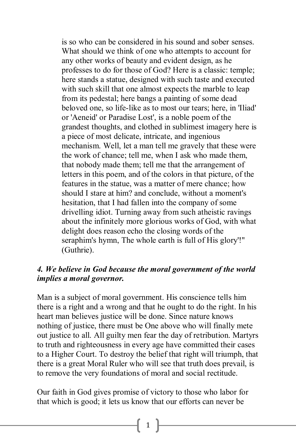is so who can be considered in his sound and sober senses. What should we think of one who attempts to account for any other works of beauty and evident design, as he professes to do for those of God? Here is a classic: temple; here stands a statue, designed with such taste and executed with such skill that one almost expects the marble to leap from its pedestal; here bangs a painting of some dead beloved one, so life-like as to most our tears; here, in 'Iliad' or 'Aeneid' or Paradise Lost', is a noble poem of the grandest thoughts, and clothed in sublimest imagery here is a piece of most delicate, intricate, and ingenious mechanism. Well, let a man tell me gravely that these were the work of chance; tell me, when I ask who made them, that nobody made them; tell me that the arrangement of letters in this poem, and of the colors in that picture, of the features in the statue, was a matter of mere chance; how should I stare at him? and conclude, without a moment's hesitation, that I had fallen into the company of some drivelling idiot. Turning away from such atheistic ravings about the infinitely more glorious works of God, with what delight does reason echo the closing words of the seraphim's hymn, The whole earth is full of His glory'!" (Guthrie).

#### *4. We believe in God because the moral government of the world implies a moral governor.*

Man is a subject of moral government. His conscience tells him there is a right and a wrong and that he ought to do the right. In his heart man believes justice will be done. Since nature knows nothing of justice, there must be One above who will finally mete out justice to all. All guilty men fear the day of retribution. Martyrs to truth and righteousness in every age have committed their cases to a Higher Court. To destroy the belief that right will triumph, that there is a great Moral Ruler who will see that truth does prevail, is to remove the very foundations of moral and social rectitude.

Our faith in God gives promise of victory to those who labor for that which is good; it lets us know that our efforts can never be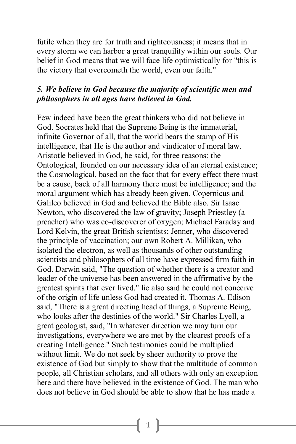futile when they are for truth and righteousness; it means that in every storm we can harbor a great tranquility within our souls. Our belief in God means that we will face life optimistically for "this is the victory that overcometh the world, even our faith."

#### *5. We believe in God because the majority of scientific men and philosophers in all ages have believed in God.*

Few indeed have been the great thinkers who did not believe in God. Socrates held that the Supreme Being is the immaterial, infinite Governor of all, that the world bears the stamp of His intelligence, that He is the author and vindicator of moral law. Aristotle believed in God, he said, for three reasons: the Ontological, founded on our necessary idea of an eternal existence; the Cosmological, based on the fact that for every effect there must be a cause, back of all harmony there must be intelligence; and the moral argument which has already been given. Copernicus and Galileo believed in God and believed the Bible also. Sir Isaac Newton, who discovered the law of gravity; Joseph Priestley (a preacher) who was co-discoverer of oxygen; Michael Faraday and Lord Kelvin, the great British scientists; Jenner, who discovered the principle of vaccination; our own Robert A. Millikan, who isolated the electron, as well as thousands of other outstanding scientists and philosophers of all time have expressed firm faith in God. Darwin said, "The question of whether there is a creator and leader of the universe has been answered in the affirmative by the greatest spirits that ever lived." lie also said he could not conceive of the origin of life unless God had created it. Thomas A. Edison said, "There is a great directing head of things, a Supreme Being, who looks after the destinies of the world." Sir Charles Lyell, a great geologist, said, "In whatever direction we may turn our investigations, everywhere we are met by the clearest proofs of a creating Intelligence." Such testimonies could be multiplied without limit. We do not seek by sheer authority to prove the existence of God but simply to show that the multitude of common people, all Christian scholars, and all others with only an exception here and there have believed in the existence of God. The man who does not believe in God should be able to show that he has made a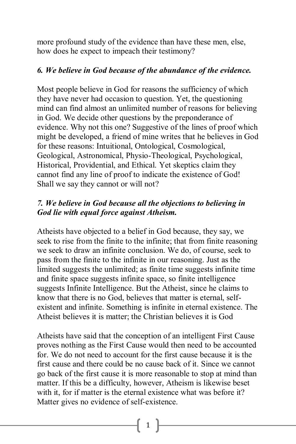more profound study of the evidence than have these men, else, how does he expect to impeach their testimony?

#### *6. We believe in God because of the abundance of the evidence.*

Most people believe in God for reasons the sufficiency of which they have never had occasion to question. Yet, the questioning mind can find almost an unlimited number of reasons for believing in God. We decide other questions by the preponderance of evidence. Why not this one? Suggestive of the lines of proof which might be developed, a friend of mine writes that he believes in God for these reasons: Intuitional, Ontological, Cosmological, Geological, Astronomical, Physio-Theological, Psychological, Historical, Providential, and Ethical. Yet skeptics claim they cannot find any line of proof to indicate the existence of God! Shall we say they cannot or will not?

#### *7. We believe in God because all the objections to believing in God lie with equal force against Atheism.*

Atheists have objected to a belief in God because, they say, we seek to rise from the finite to the infinite; that from finite reasoning we seek to draw an infinite conclusion. We do, of course, seek to pass from the finite to the infinite in our reasoning. Just as the limited suggests the unlimited; as finite time suggests infinite time and finite space suggests infinite space, so finite intelligence suggests Infinite Intelligence. But the Atheist, since he claims to know that there is no God, believes that matter is eternal, selfexistent and infinite. Something is infinite in eternal existence. The Atheist believes it is matter; the Christian believes it is God

Atheists have said that the conception of an intelligent First Cause proves nothing as the First Cause would then need to be accounted for. We do not need to account for the first cause because it is the first cause and there could be no cause back of it. Since we cannot go back of the first cause it is more reasonable to stop at mind than matter. If this be a difficulty, however, Atheism is likewise beset with it, for if matter is the eternal existence what was before it? Matter gives no evidence of self-existence.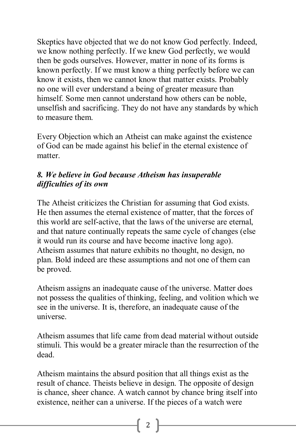Skeptics have objected that we do not know God perfectly. Indeed, we know nothing perfectly. If we knew God perfectly, we would then be gods ourselves. However, matter in none of its forms is known perfectly. If we must know a thing perfectly before we can know it exists, then we cannot know that matter exists. Probably no one will ever understand a being of greater measure than himself. Some men cannot understand how others can be noble, unselfish and sacrificing. They do not have any standards by which to measure them.

Every Objection which an Atheist can make against the existence of God can be made against his belief in the eternal existence of matter.

#### *8. We believe in God because Atheism has insuperable difficulties of its own*

The Atheist criticizes the Christian for assuming that God exists. He then assumes the eternal existence of matter, that the forces of this world are self-active, that the laws of the universe are eternal, and that nature continually repeats the same cycle of changes (else it would run its course and have become inactive long ago). Atheism assumes that nature exhibits no thought, no design, no plan. Bold indeed are these assumptions and not one of them can be proved.

Atheism assigns an inadequate cause of the universe. Matter does not possess the qualities of thinking, feeling, and volition which we see in the universe. It is, therefore, an inadequate cause of the universe.

Atheism assumes that life came from dead material without outside stimuli. This would be a greater miracle than the resurrection of the dead.

Atheism maintains the absurd position that all things exist as the result of chance. Theists believe in design. The opposite of design is chance, sheer chance. A watch cannot by chance bring itself into existence, neither can a universe. If the pieces of a watch were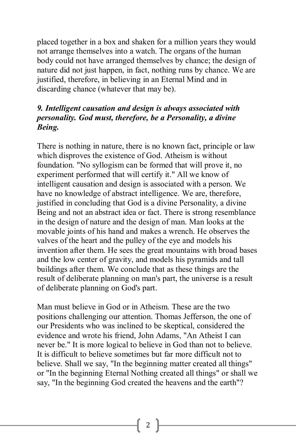placed together in a box and shaken for a million years they would not arrange themselves into a watch. The organs of the human body could not have arranged themselves by chance; the design of nature did not just happen, in fact, nothing runs by chance. We are justified, therefore, in believing in an Eternal Mind and in discarding chance (whatever that may be).

#### *9. Intelligent causation and design is always associated with personality. God must, therefore, be a Personality, a divine Being.*

There is nothing in nature, there is no known fact, principle or law which disproves the existence of God. Atheism is without foundation. "No syllogism can be formed that will prove it, no experiment performed that will certify it." All we know of intelligent causation and design is associated with a person. We have no knowledge of abstract intelligence. We are, therefore, justified in concluding that God is a divine Personality, a divine Being and not an abstract idea or fact. There is strong resemblance in the design of nature and the design of man. Man looks at the movable joints of his hand and makes a wrench. He observes the valves of the heart and the pulley of the eye and models his invention after them. He sees the great mountains with broad bases and the low center of gravity, and models his pyramids and tall buildings after them. We conclude that as these things are the result of deliberate planning on man's part, the universe is a result of deliberate planning on God's part.

Man must believe in God or in Atheism. These are the two positions challenging our attention. Thomas Jefferson, the one of our Presidents who was inclined to be skeptical, considered the evidence and wrote his friend, John Adams, "An Atheist I can never be." It is more logical to believe in God than not to believe. It is difficult to believe sometimes but far more difficult not to believe. Shall we say, "In the beginning matter created all things" or "In the beginning Eternal Nothing created all things" or shall we say, "In the beginning God created the heavens and the earth"?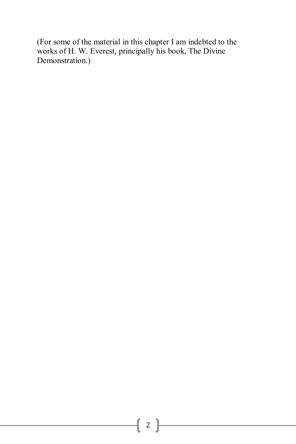(For some of the material in this chapter I am indebted to the works of H. W. Everest, principally his book, The Divine Demonstration.)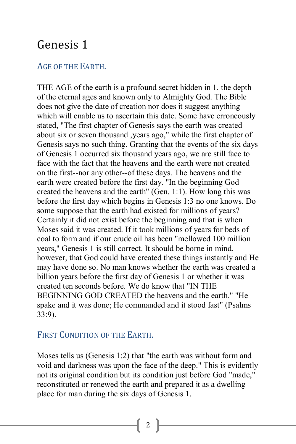### <span id="page-22-0"></span>Genesis 1

#### AGE OF THE EARTH.

THE AGE of the earth is a profound secret hidden in 1. the depth of the eternal ages and known only to Almighty God. The Bible does not give the date of creation nor does it suggest anything which will enable us to ascertain this date. Some have erroneously stated, "The first chapter of Genesis says the earth was created about six or seven thousand ,years ago," while the first chapter of Genesis says no such thing. Granting that the events of the six days of Genesis 1 occurred six thousand years ago, we are still face to face with the fact that the heavens and the earth were not created on the first--nor any other--of these days. The heavens and the earth were created before the first day. "In the beginning God created the heavens and the earth" (Gen. 1:1). How long this was before the first day which begins in Genesis 1:3 no one knows. Do some suppose that the earth had existed for millions of years? Certainly it did not exist before the beginning and that is when Moses said it was created. If it took millions of years for beds of coal to form and if our crude oil has been "mellowed 100 million years," Genesis 1 is still correct. It should be borne in mind, however, that God could have created these things instantly and He may have done so. No man knows whether the earth was created a billion years before the first day of Genesis 1 or whether it was created ten seconds before. We do know that "IN THE BEGINNING GOD CREATED the heavens and the earth." "He spake and it was done; He commanded and it stood fast" (Psalms 33:9).

#### FIRST CONDITION OF THE EARTH.

Moses tells us (Genesis 1:2) that "the earth was without form and void and darkness was upon the face of the deep." This is evidently not its original condition but its condition just before God "made," reconstituted or renewed the earth and prepared it as a dwelling place for man during the six days of Genesis 1.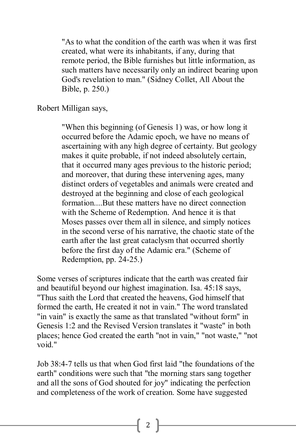"As to what the condition of the earth was when it was first created, what were its inhabitants, if any, during that remote period, the Bible furnishes but little information, as such matters have necessarily only an indirect bearing upon God's revelation to man." (Sidney Collet, All About the Bible, p. 250.)

Robert Milligan says,

"When this beginning (of Genesis 1) was, or how long it occurred before the Adamic epoch, we have no means of ascertaining with any high degree of certainty. But geology makes it quite probable, if not indeed absolutely certain, that it occurred many ages previous to the historic period; and moreover, that during these intervening ages, many distinct orders of vegetables and animals were created and destroyed at the beginning and close of each geological formation But these matters have no direct connection with the Scheme of Redemption. And hence it is that Moses passes over them all in silence, and simply notices in the second verse of his narrative, the chaotic state of the earth after the last great cataclysm that occurred shortly before the first day of the Adamic era." (Scheme of Redemption, pp. 24-25.)

Some verses of scriptures indicate that the earth was created fair and beautiful beyond our highest imagination. Isa. 45:18 says, "Thus saith the Lord that created the heavens, God himself that formed the earth, He created it not in vain." The word translated "in vain" is exactly the same as that translated "without form" in Genesis 1:2 and the Revised Version translates it "waste" in both places; hence God created the earth "not in vain," "not waste," "not void."

Job 38:4-7 tells us that when God first laid "the foundations of the earth" conditions were such that "the morning stars sang together and all the sons of God shouted for joy" indicating the perfection and completeness of the work of creation. Some have suggested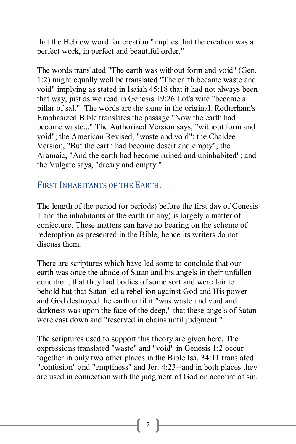that the Hebrew word for creation "implies that the creation was a perfect work, in perfect and beautiful order."

The words translated "The earth was without form and void" (Gen. 1:2) might equally well be translated "The earth became waste and void" implying as stated in Isaiah 45:18 that it had not always been that way, just as we read in Genesis 19:26 Lot's wife "became a pillar of salt". The words are the same in the original. Rotherham's Emphasized Bible translates the passage "Now the earth had become waste..." The Authorized Version says, "without form and void"; the American Revised, "waste and void"; the Chaldee Version, "But the earth had become desert and empty"; the Aramaic, "And the earth had become ruined and uninhabited"; and the Vulgate says, "dreary and empty."

#### FIRST INHABITANTS OF THE EARTH.

The length of the period (or periods) before the first day of Genesis 1 and the inhabitants of the earth (if any) is largely a matter of conjecture. These matters can have no bearing on the scheme of redemption as presented in the Bible, hence its writers do not discuss them.

There are scriptures which have led some to conclude that our earth was once the abode of Satan and his angels in their unfallen condition; that they had bodies of some sort and were fair to behold but that Satan led a rebellion against God and His power and God destroyed the earth until it "was waste and void and darkness was upon the face of the deep," that these angels of Satan were cast down and "reserved in chains until judgment."

The scriptures used to support this theory are given here. The expressions translated "waste" and "void" in Genesis 1:2 occur together in only two other places in the Bible Isa. 34:11 translated "confusion" and "emptiness" and Jer. 4:23--and in both places they are used in connection with the judgment of God on account of sin.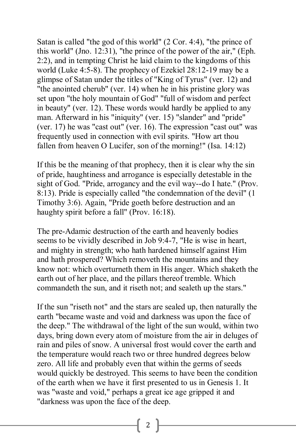Satan is called "the god of this world" (2 Cor. 4:4), "the prince of this world" (Jno. 12:31), "the prince of the power of the air," (Eph. 2:2), and in tempting Christ he laid claim to the kingdoms of this world (Luke 4:5-8). The prophecy of Ezekiel 28:12-19 may be a glimpse of Satan under the titles of "King of Tyrus" (ver. 12) and "the anointed cherub" (ver. 14) when he in his pristine glory was set upon "the holy mountain of God" "full of wisdom and perfect in beauty" (ver. 12). These words would hardly be applied to any man. Afterward in his "iniquity" (ver. 15) "slander" and "pride" (ver. 17) he was "cast out" (ver. 16). The expression "cast out" was frequently used in connection with evil spirits. "How art thou fallen from heaven O Lucifer, son of the morning!" (Isa. 14:12)

If this be the meaning of that prophecy, then it is clear why the sin of pride, haughtiness and arrogance is especially detestable in the sight of God. "Pride, arrogancy and the evil way--do I hate." (Prov. 8:13). Pride is especially called "the condemnation of the devil" (1 Timothy 3:6). Again, "Pride goeth before destruction and an haughty spirit before a fall" (Prov. 16:18).

The pre-Adamic destruction of the earth and heavenly bodies seems to be vividly described in Job 9:4-7, "He is wise in heart, and mighty in strength; who hath hardened himself against Him and hath prospered? Which removeth the mountains and they know not: which overturneth them in His anger. Which shaketh the earth out of her place, and the pillars thereof tremble. Which commandeth the sun, and it riseth not; and sealeth up the stars."

If the sun "riseth not" and the stars are sealed up, then naturally the earth "became waste and void and darkness was upon the face of the deep." The withdrawal of the light of the sun would, within two days, bring down every atom of moisture from the air in deluges of rain and piles of snow. A universal frost would cover the earth and the temperature would reach two or three hundred degrees below zero. All life and probably even that within the germs of seeds would quickly be destroyed. This seems to have been the condition of the earth when we have it first presented to us in Genesis 1. It was "waste and void," perhaps a great ice age gripped it and "darkness was upon the face of the deep.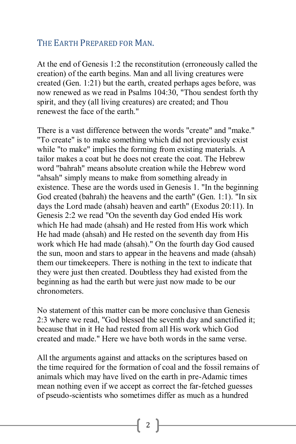#### THE EARTH PREPARED FOR MAN.

At the end of Genesis 1:2 the reconstitution (erroneously called the creation) of the earth begins. Man and all living creatures were created (Gen. 1:21) but the earth, created perhaps ages before, was now renewed as we read in Psalms 104:30, "Thou sendest forth thy spirit, and they (all living creatures) are created; and Thou renewest the face of the earth."

There is a vast difference between the words "create" and "make." "To create" is to make something which did not previously exist while "to make" implies the forming from existing materials. A tailor makes a coat but he does not create the coat. The Hebrew word "bahrah" means absolute creation while the Hebrew word "ahsah" simply means to make from something already in existence. These are the words used in Genesis 1. "In the beginning God created (bahrah) the heavens and the earth" (Gen. 1:1). "In six days the Lord made (ahsah) heaven and earth" (Exodus 20:11). In Genesis 2:2 we read "On the seventh day God ended His work which He had made (ahsah) and He rested from His work which He had made (ahsah) and He rested on the seventh day from His work which He had made (ahsah)." On the fourth day God caused the sun, moon and stars to appear in the heavens and made (ahsah) them our timekeepers. There is nothing in the text to indicate that they were just then created. Doubtless they had existed from the beginning as had the earth but were just now made to be our chronometers.

No statement of this matter can be more conclusive than Genesis 2:3 where we read, "God blessed the seventh day and sanctified it; because that in it He had rested from all His work which God created and made." Here we have both words in the same verse.

All the arguments against and attacks on the scriptures based on the time required for the formation of coal and the fossil remains of animals which may have lived on the earth in pre-Adamic times mean nothing even if we accept as correct the far-fetched guesses of pseudo-scientists who sometimes differ as much as a hundred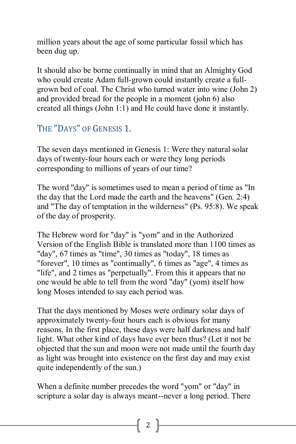million years about the age of some particular fossil which has been dug up.

It should also be borne continually in mind that an Almighty God who could create Adam full-grown could instantly create a fullgrown bed of coal. The Christ who turned water into wine (John 2) and provided bread for the people in a moment (john 6) also created all things (John 1:1) and He could have done it instantly.

### THE "DAYS" OF GENESIS 1.

The seven days mentioned in Genesis 1: Were they natural solar days of twenty-four hours each or were they long periods corresponding to millions of years of our time?

The word "day" is sometimes used to mean a period of time as "In the day that the Lord made the earth and the heavens" (Gen. 2:4) and "The day of temptation in the wilderness" (Ps. 95:8). We speak of the day of prosperity.

The Hebrew word for "day" is "yom" and in the Authorized Version of the English Bible is translated more than 1100 times as "day", 67 times as "time", 30 times as "today", 18 times as "forever", 10 times as "continually", 6 times as "age", 4 times as "life", and 2 times as "perpetually". From this it appears that no one would be able to tell from the word "day" (yom) itself how long Moses intended to say each period was.

That the days mentioned by Moses were ordinary solar days of approximately twenty-four hours each is obvious for many reasons. In the first place, these days were half darkness and half light. What other kind of days have ever been thus? (Let it not be objected that the sun and moon were not made until the fourth day as light was brought into existence on the first day and may exist quite independently of the sun.)

When a definite number precedes the word "yom" or "day" in scripture a solar day is always meant--never a long period. There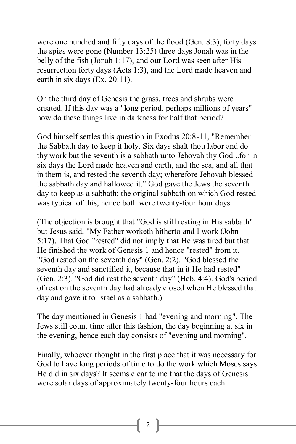were one hundred and fifty days of the flood (Gen. 8:3), forty days the spies were gone (Number 13:25) three days Jonah was in the belly of the fish (Jonah 1:17), and our Lord was seen after His resurrection forty days (Acts 1:3), and the Lord made heaven and earth in six days (Ex. 20:11).

On the third day of Genesis the grass, trees and shrubs were created. If this day was a "long period, perhaps millions of years" how do these things live in darkness for half that period?

God himself settles this question in Exodus 20:8-11, "Remember the Sabbath day to keep it holy. Six days shalt thou labor and do thy work but the seventh is a sabbath unto Jehovah thy God...for in six days the Lord made heaven and earth, and the sea, and all that in them is, and rested the seventh day; wherefore Jehovah blessed the sabbath day and hallowed it." God gave the Jews the seventh day to keep as a sabbath; the original sabbath on which God rested was typical of this, hence both were twenty-four hour days.

(The objection is brought that "God is still resting in His sabbath" but Jesus said, "My Father worketh hitherto and I work (John 5:17). That God "rested" did not imply that He was tired but that He finished the work of Genesis 1 and hence "rested" from it. "God rested on the seventh day" (Gen. 2:2). "God blessed the seventh day and sanctified it, because that in it He had rested" (Gen. 2:3). "God did rest the seventh day" (Heb. 4:4). God's period of rest on the seventh day had already closed when He blessed that day and gave it to Israel as a sabbath.)

The day mentioned in Genesis 1 had "evening and morning". The Jews still count time after this fashion, the day beginning at six in the evening, hence each day consists of "evening and morning".

Finally, whoever thought in the first place that it was necessary for God to have long periods of time to do the work which Moses says He did in six days? It seems clear to me that the days of Genesis 1 were solar days of approximately twenty-four hours each.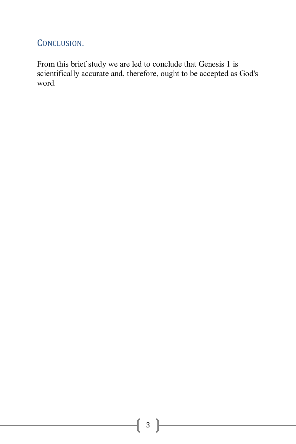### CONCLUSION.

From this brief study we are led to conclude that Genesis 1 is scientifically accurate and, therefore, ought to be accepted as God's word.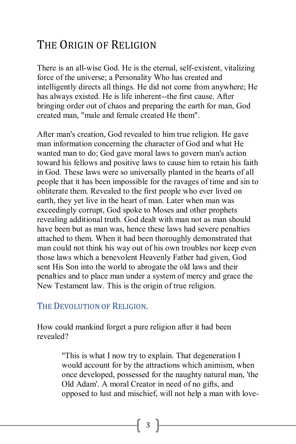### <span id="page-30-0"></span>THE ORIGIN OF RELIGION

There is an all-wise God. He is the eternal, self-existent, vitalizing force of the universe; a Personality Who has created and intelligently directs all things. He did not come from anywhere; He has always existed. He is life inherent--the first cause. After bringing order out of chaos and preparing the earth for man, God created man, "male and female created He them".

After man's creation, God revealed to him true religion. He gave man information concerning the character of God and what He wanted man to do; God gave moral laws to govern man's action toward his fellows and positive laws to cause him to retain his faith in God. These laws were so universally planted in the hearts of all people that it has been impossible for the ravages of time and sin to obliterate them. Revealed to the first people who ever lived on earth, they yet live in the heart of man. Later when man was exceedingly corrupt, God spoke to Moses and other prophets revealing additional truth. God dealt with man not as man should have been but as man was, hence these laws had severe penalties attached to them. When it had been thoroughly demonstrated that man could not think his way out of his own troubles nor keep even those laws which a benevolent Heavenly Father had given, God sent His Son into the world to abrogate the old laws and their penalties and to place man under a system of mercy and grace the New Testament law. This is the origin of true religion.

#### THE DEVOLUTION OF RELIGION.

How could mankind forget a pure religion after it had been revealed?

> "This is what I now try to explain. That degeneration I would account for by the attractions which animism, when once developed, possessed for the naughty natural man, 'the Old Adam'. A moral Creator in need of no gifts, and opposed to lust and mischief, will not help a man with love-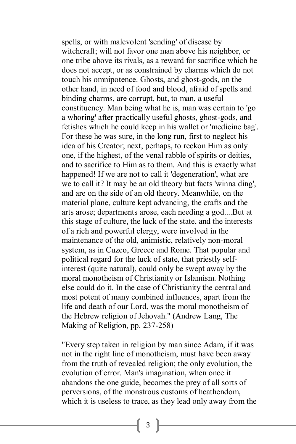spells, or with malevolent 'sending' of disease by witchcraft; will not favor one man above his neighbor, or one tribe above its rivals, as a reward for sacrifice which he does not accept, or as constrained by charms which do not touch his omnipotence. Ghosts, and ghost-gods, on the other hand, in need of food and blood, afraid of spells and binding charms, are corrupt, but, to man, a useful constituency. Man being what he is, man was certain to 'go a whoring' after practically useful ghosts, ghost-gods, and fetishes which he could keep in his wallet or 'medicine bag'. For these he was sure, in the long run, first to neglect his idea of his Creator; next, perhaps, to reckon Him as only one, if the highest, of the venal rabble of spirits or deities, and to sacrifice to Him as to them. And this is exactly what happened! If we are not to call it 'degeneration', what are we to call it? It may be an old theory but facts 'winna ding', and are on the side of an old theory. Meanwhile, on the material plane, culture kept advancing, the crafts and the arts arose; departments arose, each needing a god....But at this stage of culture, the luck of the state, and the interests of a rich and powerful clergy, were involved in the maintenance of the old, animistic, relatively non-moral system, as in Cuzco, Greece and Rome. That popular and political regard for the luck of state, that priestly selfinterest (quite natural), could only be swept away by the moral monotheism of Christianity or Islamism. Nothing else could do it. In the case of Christianity the central and most potent of many combined influences, apart from the life and death of our Lord, was the moral monotheism of the Hebrew religion of Jehovah." (Andrew Lang, The Making of Religion, pp. 237-258)

"Every step taken in religion by man since Adam, if it was not in the right line of monotheism, must have been away from the truth of revealed religion; the only evolution, the evolution of error. Man's imagination, when once it abandons the one guide, becomes the prey of all sorts of perversions, of the monstrous customs of heathendom, which it is useless to trace, as they lead only away from the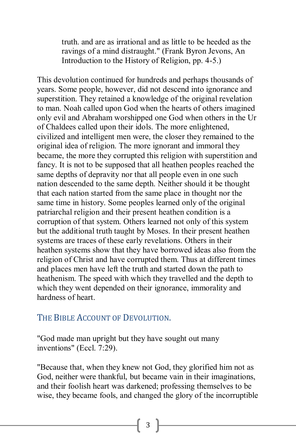truth. and are as irrational and as little to be heeded as the ravings of a mind distraught." (Frank Byron Jevons, An Introduction to the History of Religion, pp. 4-5.)

This devolution continued for hundreds and perhaps thousands of years. Some people, however, did not descend into ignorance and superstition. They retained a knowledge of the original revelation to man. Noah called upon God when the hearts of others imagined only evil and Abraham worshipped one God when others in the Ur of Chaldees called upon their idols. The more enlightened, civilized and intelligent men were, the closer they remained to the original idea of religion. The more ignorant and immoral they became, the more they corrupted this religion with superstition and fancy. It is not to be supposed that all heathen peoples reached the same depths of depravity nor that all people even in one such nation descended to the same depth. Neither should it be thought that each nation started from the same place in thought nor the same time in history. Some peoples learned only of the original patriarchal religion and their present heathen condition is a corruption of that system. Others learned not only of this system but the additional truth taught by Moses. In their present heathen systems are traces of these early revelations. Others in their heathen systems show that they have borrowed ideas also from the religion of Christ and have corrupted them. Thus at different times and places men have left the truth and started down the path to heathenism. The speed with which they travelled and the depth to which they went depended on their ignorance, immorality and hardness of heart.

#### THE BIBLE ACCOUNT OF DEVOLUTION.

"God made man upright but they have sought out many inventions" (Eccl. 7:29).

"Because that, when they knew not God, they glorified him not as God, neither were thankful, but became vain in their imaginations, and their foolish heart was darkened; professing themselves to be wise, they became fools, and changed the glory of the incorruptible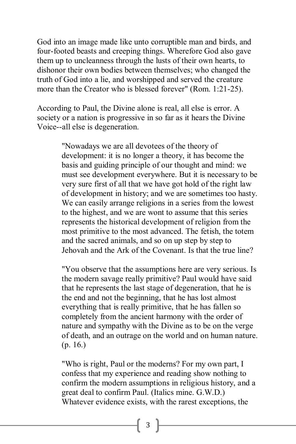God into an image made like unto corruptible man and birds, and four-footed beasts and creeping things. Wherefore God also gave them up to uncleanness through the lusts of their own hearts, to dishonor their own bodies between themselves; who changed the truth of God into a lie, and worshipped and served the creature more than the Creator who is blessed forever" (Rom. 1:21-25).

According to Paul, the Divine alone is real, all else is error. A society or a nation is progressive in so far as it hears the Divine Voice--all else is degeneration.

> "Nowadays we are all devotees of the theory of development: it is no longer a theory, it has become the basis and guiding principle of our thought and mind: we must see development everywhere. But it is necessary to be very sure first of all that we have got hold of the right law of development in history; and we are sometimes too hasty. We can easily arrange religions in a series from the lowest to the highest, and we are wont to assume that this series represents the historical development of religion from the most primitive to the most advanced. The fetish, the totem and the sacred animals, and so on up step by step to Jehovah and the Ark of the Covenant. Is that the true line?

> "You observe that the assumptions here are very serious. Is the modern savage really primitive? Paul would have said that he represents the last stage of degeneration, that he is the end and not the beginning, that he has lost almost everything that is really primitive, that he has fallen so completely from the ancient harmony with the order of nature and sympathy with the Divine as to be on the verge of death, and an outrage on the world and on human nature. (p. 16.)

"Who is right, Paul or the moderns? For my own part, I confess that my experience and reading show nothing to confirm the modern assumptions in religious history, and a great deal to confirm Paul. (Italics mine. G.W.D.) Whatever evidence exists, with the rarest exceptions, the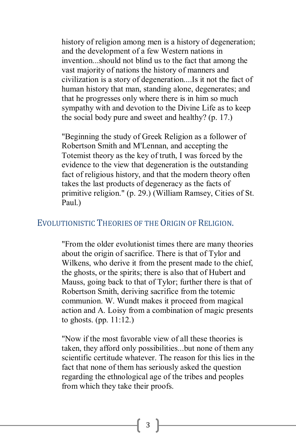history of religion among men is a history of degeneration; and the development of a few Western nations in invention...should not blind us to the fact that among the vast majority of nations the history of manners and civilization is a story of degeneration....Is it not the fact of human history that man, standing alone, degenerates; and that he progresses only where there is in him so much sympathy with and devotion to the Divine Life as to keep the social body pure and sweet and healthy? (p. 17.)

"Beginning the study of Greek Religion as a follower of Robertson Smith and M'Lennan, and accepting the Totemist theory as the key of truth, I was forced by the evidence to the view that degeneration is the outstanding fact of religious history, and that the modern theory often takes the last products of degeneracy as the facts of primitive religion." (p. 29.) (William Ramsey, Cities of St. Paul.)

#### EVOLUTIONISTIC THEORIES OF THE ORIGIN OF RELIGION.

"From the older evolutionist times there are many theories about the origin of sacrifice. There is that of Tylor and Wilkens, who derive it from the present made to the chief, the ghosts, or the spirits; there is also that of Hubert and Mauss, going back to that of Tylor; further there is that of Robertson Smith, deriving sacrifice from the totemic communion. W. Wundt makes it proceed from magical action and A. Loisy from a combination of magic presents to ghosts. (pp. 11:12.)

"Now if the most favorable view of all these theories is taken, they afford only possibilities...but none of them any scientific certitude whatever. The reason for this lies in the fact that none of them has seriously asked the question regarding the ethnological age of the tribes and peoples from which they take their proofs.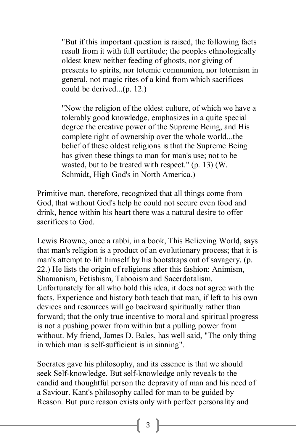"But if this important question is raised, the following facts result from it with full certitude; the peoples ethnologically oldest knew neither feeding of ghosts, nor giving of presents to spirits, nor totemic communion, nor totemism in general, not magic rites of a kind from which sacrifices could be derived...(p. 12.)

"Now the religion of the oldest culture, of which we have a tolerably good knowledge, emphasizes in a quite special degree the creative power of the Supreme Being, and His complete right of ownership over the whole world...the belief of these oldest religions is that the Supreme Being has given these things to man for man's use; not to be wasted, but to be treated with respect." (p. 13) (W. Schmidt, High God's in North America.)

Primitive man, therefore, recognized that all things come from God, that without God's help he could not secure even food and drink, hence within his heart there was a natural desire to offer sacrifices to God.

Lewis Browne, once a rabbi, in a book, This Believing World, says that man's religion is a product of an evolutionary process; that it is man's attempt to lift himself by his bootstraps out of savagery. (p. 22.) He lists the origin of religions after this fashion: Animism, Shamanism, Fetishism, Tabooism and Sacerdotalism. Unfortunately for all who hold this idea, it does not agree with the facts. Experience and history both teach that man, if left to his own devices and resources will go backward spiritually rather than forward; that the only true incentive to moral and spiritual progress is not a pushing power from within but a pulling power from without. My friend, James D. Bales, has well said, "The only thing in which man is self-sufficient is in sinning".

Socrates gave his philosophy, and its essence is that we should seek Self-knowledge. But self-knowledge only reveals to the candid and thoughtful person the depravity of man and his need of a Saviour. Kant's philosophy called for man to be guided by Reason. But pure reason exists only with perfect personality and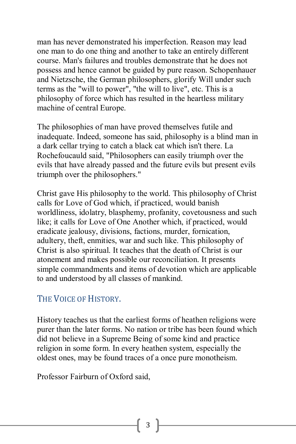man has never demonstrated his imperfection. Reason may lead one man to do one thing and another to take an entirely different course. Man's failures and troubles demonstrate that he does not possess and hence cannot be guided by pure reason. Schopenhauer and Nietzsche, the German philosophers, glorify Will under such terms as the "will to power", "the will to live", etc. This is a philosophy of force which has resulted in the heartless military machine of central Europe.

The philosophies of man have proved themselves futile and inadequate. Indeed, someone has said, philosophy is a blind man in a dark cellar trying to catch a black cat which isn't there. La Rochefoucauld said, "Philosophers can easily triumph over the evils that have already passed and the future evils but present evils triumph over the philosophers."

Christ gave His philosophy to the world. This philosophy of Christ calls for Love of God which, if practiced, would banish worldliness, idolatry, blasphemy, profanity, covetousness and such like; it calls for Love of One Another which, if practiced, would eradicate jealousy, divisions, factions, murder, fornication, adultery, theft, enmities, war and such like. This philosophy of Christ is also spiritual. It teaches that the death of Christ is our atonement and makes possible our reconciliation. It presents simple commandments and items of devotion which are applicable to and understood by all classes of mankind.

### THE VOICE OF HISTORY.

History teaches us that the earliest forms of heathen religions were purer than the later forms. No nation or tribe has been found which did not believe in a Supreme Being of some kind and practice religion in some form. In every heathen system, especially the oldest ones, may be found traces of a once pure monotheism.

Professor Fairburn of Oxford said,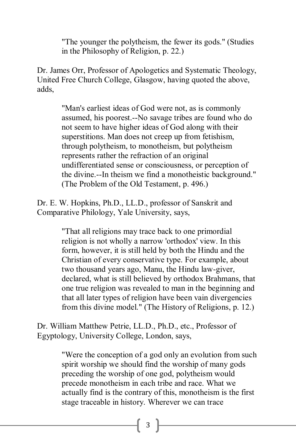"The younger the polytheism, the fewer its gods." (Studies in the Philosophy of Religion, p. 22.)

Dr. James Orr, Professor of Apologetics and Systematic Theology, United Free Church College, Glasgow, having quoted the above, adds,

> "Man's earliest ideas of God were not, as is commonly assumed, his poorest.--No savage tribes are found who do not seem to have higher ideas of God along with their superstitions. Man does not creep up from fetishism, through polytheism, to monotheism, but polytheism represents rather the refraction of an original undifferentiated sense or consciousness, or perception of the divine.--In theism we find a monotheistic background." (The Problem of the Old Testament, p. 496.)

Dr. E. W. Hopkins, Ph.D., LL.D., professor of Sanskrit and Comparative Philology, Yale University, says,

> "That all religions may trace back to one primordial religion is not wholly a narrow 'orthodox' view. In this form, however, it is still held by both the Hindu and the Christian of every conservative type. For example, about two thousand years ago, Manu, the Hindu law-giver, declared, what is still believed by orthodox Brahmans, that one true religion was revealed to man in the beginning and that all later types of religion have been vain divergencies from this divine model." (The History of Religions, p. 12.)

Dr. William Matthew Petrie, LL.D., Ph.D., etc., Professor of Egyptology, University College, London, says,

> "Were the conception of a god only an evolution from such spirit worship we should find the worship of many gods preceding the worship of one god, polytheism would precede monotheism in each tribe and race. What we actually find is the contrary of this, monotheism is the first stage traceable in history. Wherever we can trace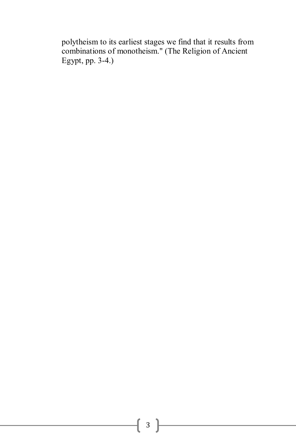polytheism to its earliest stages we find that it results from combinations of monotheism." (The Religion of Ancient Egypt, pp. 3-4.)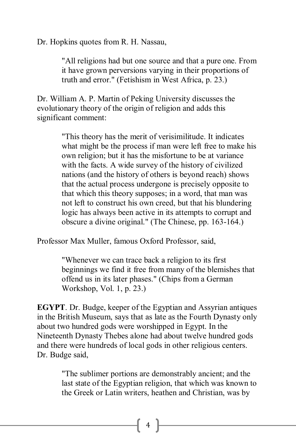Dr. Hopkins quotes from R. H. Nassau,

"All religions had but one source and that a pure one. From it have grown perversions varying in their proportions of truth and error." (Fetishism in West Africa, p. 23.)

Dr. William A. P. Martin of Peking University discusses the evolutionary theory of the origin of religion and adds this significant comment:

> "This theory has the merit of verisimilitude. It indicates what might be the process if man were left free to make his own religion; but it has the misfortune to be at variance with the facts. A wide survey of the history of civilized nations (and the history of others is beyond reach) shows that the actual process undergone is precisely opposite to that which this theory supposes; in a word, that man was not left to construct his own creed, but that his blundering logic has always been active in its attempts to corrupt and obscure a divine original." (The Chinese, pp. 163-164.)

Professor Max Muller, famous Oxford Professor, said,

"Whenever we can trace back a religion to its first beginnings we find it free from many of the blemishes that offend us in its later phases." (Chips from a German Workshop, Vol. 1, p. 23.)

**EGYPT**. Dr. Budge, keeper of the Egyptian and Assyrian antiques in the British Museum, says that as late as the Fourth Dynasty only about two hundred gods were worshipped in Egypt. In the Nineteenth Dynasty Thebes alone had about twelve hundred gods and there were hundreds of local gods in other religious centers. Dr. Budge said,

> "The sublimer portions are demonstrably ancient; and the last state of the Egyptian religion, that which was known to the Greek or Latin writers, heathen and Christian, was by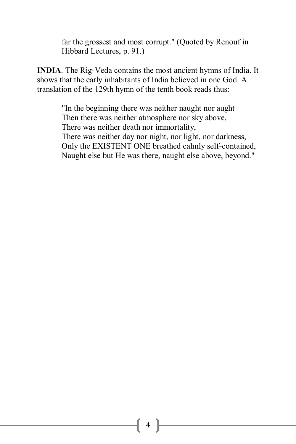far the grossest and most corrupt." (Quoted by Renouf in Hibbard Lectures, p. 91.)

**INDIA**. The Rig-Veda contains the most ancient hymns of India. It shows that the early inhabitants of India believed in one God. A translation of the 129th hymn of the tenth book reads thus:

> "In the beginning there was neither naught nor aught Then there was neither atmosphere nor sky above, There was neither death nor immortality, There was neither day nor night, nor light, nor darkness, Only the EXISTENT ONE breathed calmly self-contained, Naught else but He was there, naught else above, beyond."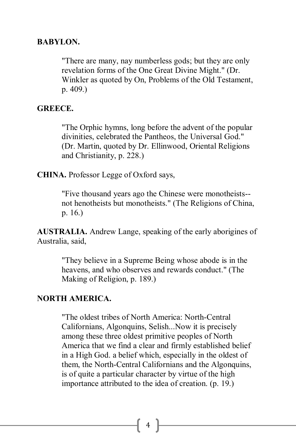#### **BABYLON.**

"There are many, nay numberless gods; but they are only revelation forms of the One Great Divine Might." (Dr. Winkler as quoted by On, Problems of the Old Testament, p. 409.)

#### **GREECE.**

"The Orphic hymns, long before the advent of the popular divinities, celebrated the Pantheos, the Universal God." (Dr. Martin, quoted by Dr. Ellinwood, Oriental Religions and Christianity, p. 228.)

**CHINA.** Professor Legge of Oxford says,

"Five thousand years ago the Chinese were monotheists- not henotheists but monotheists." (The Religions of China, p. 16.)

**AUSTRALIA.** Andrew Lange, speaking of the early aborigines of Australia, said,

> "They believe in a Supreme Being whose abode is in the heavens, and who observes and rewards conduct." (The Making of Religion, p. 189.)

#### **NORTH AMERICA.**

"The oldest tribes of North America: North-Central Californians, Algonquins, Selish...Now it is precisely among these three oldest primitive peoples of North America that we find a clear and firmly established belief in a High God. a belief which, especially in the oldest of them, the North-Central Californians and the Algonquins, is of quite a particular character by virtue of the high importance attributed to the idea of creation. (p. 19.)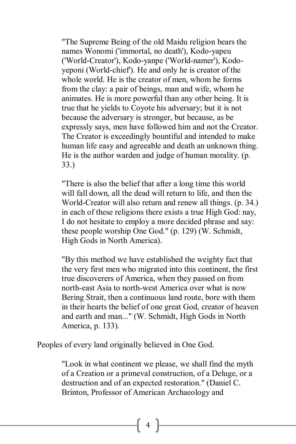"The Supreme Being of the old Maidu religion bears the names Wonomi ('immortal, no death'), Kodo-yapeu ('World-Creator'), Kodo-yanpe ('World-namer'), Kodoyeponi (World-chief'). He and only he is creator of the whole world. He is the creator of men, whom he forms from the clay: a pair of beings, man and wife, whom he animates. He is more powerful than any other being. It is true that he yields to Coyote his adversary; but it is not because the adversary is stronger, but because, as be expressly says, men have followed him and not the Creator. The Creator is exceedingly bountiful and intended to make human life easy and agreeable and death an unknown thing. He is the author warden and judge of human morality. (p. 33.)

"There is also the belief that after a long time this world will fall down, all the dead will return to life, and then the World-Creator will also return and renew all things. (p. 34.) in each of these religions there exists a true High God: nay, I do not hesitate to employ a more decided phrase and say: these people worship One God." (p. 129) (W. Schmidt, High Gods in North America).

"By this method we have established the weighty fact that the very first men who migrated into this continent, the first true discoverers of America, when they passed on from north-east Asia to north-west America over what is now Bering Strait, then a continuous land route, bore with them in their hearts the belief of one great God, creator of heaven and earth and man..." (W. Schmidt, High Gods in North America, p. 133).

Peoples of every land originally believed in One God.

"Look in what continent we please, we shall find the myth of a Creation or a primeval construction, of a Deluge, or a destruction and of an expected restoration." (Daniel C. Brinton, Professor of American Archaeology and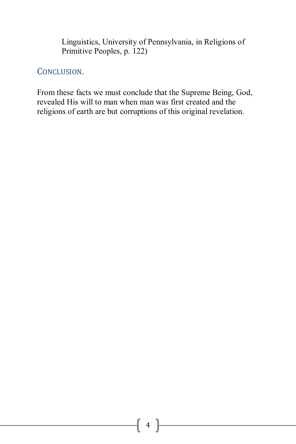Linguistics, University of Pennsylvania, in Religions of Primitive Peoples, p. 122)

#### CONCLUSION.

From these facts we must conclude that the Supreme Being, God, revealed His will to man when man was first created and the religions of earth are but corruptions of this original revelation.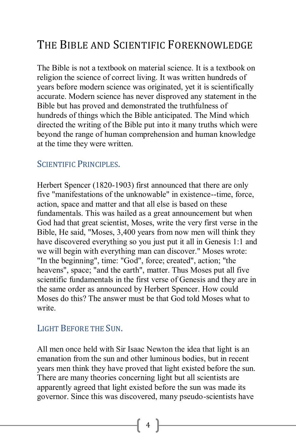# THE BIBLE AND SCIENTIFIC FOREKNOWLEDGE

The Bible is not a textbook on material science. It is a textbook on religion the science of correct living. It was written hundreds of years before modern science was originated, yet it is scientifically accurate. Modern science has never disproved any statement in the Bible but has proved and demonstrated the truthfulness of hundreds of things which the Bible anticipated. The Mind which directed the writing of the Bible put into it many truths which were beyond the range of human comprehension and human knowledge at the time they were written.

#### SCIENTIFIC PRINCIPLES.

Herbert Spencer (1820-1903) first announced that there are only five "manifestations of the unknowable" in existence--time, force, action, space and matter and that all else is based on these fundamentals. This was hailed as a great announcement but when God had that great scientist, Moses, write the very first verse in the Bible, He said, "Moses, 3,400 years from now men will think they have discovered everything so you just put it all in Genesis 1:1 and we will begin with everything man can discover." Moses wrote: "In the beginning", time: "God", force; created", action; "the heavens", space; "and the earth", matter. Thus Moses put all five scientific fundamentals in the first verse of Genesis and they are in the same order as announced by Herbert Spencer. How could Moses do this? The answer must be that God told Moses what to write.

#### LIGHT BEFORE THE SUN.

All men once held with Sir Isaac Newton the idea that light is an emanation from the sun and other luminous bodies, but in recent years men think they have proved that light existed before the sun. There are many theories concerning light but all scientists are apparently agreed that light existed before the sun was made its governor. Since this was discovered, many pseudo-scientists have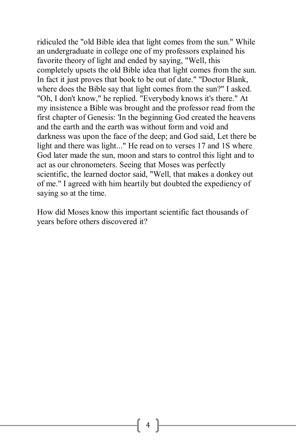ridiculed the "old Bible idea that light comes from the sun." While an undergraduate in college one of my professors explained his favorite theory of light and ended by saying, "Well, this completely upsets the old Bible idea that light comes from the sun. In fact it just proves that book to be out of date." "Doctor Blank, where does the Bible say that light comes from the sun?" I asked. "Oh, I don't know," he replied. "Everybody knows it's there." At my insistence a Bible was brought and the professor read from the first chapter of Genesis: 'In the beginning God created the heavens and the earth and the earth was without form and void and darkness was upon the face of the deep; and God said, Let there be light and there was light..." He read on to verses 17 and 1S where God later made the sun, moon and stars to control this light and to act as our chronometers. Seeing that Moses was perfectly scientific, the learned doctor said, "Well, that makes a donkey out of me." I agreed with him heartily but doubted the expediency of saying so at the time.

How did Moses know this important scientific fact thousands of years before others discovered it?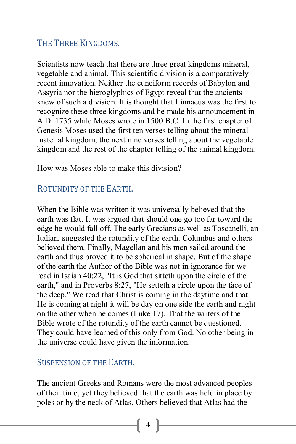## THE THREE KINGDOMS.

Scientists now teach that there are three great kingdoms mineral, vegetable and animal. This scientific division is a comparatively recent innovation. Neither the cuneiform records of Babylon and Assyria nor the hieroglyphics of Egypt reveal that the ancients knew of such a division. It is thought that Linnaeus was the first to recognize these three kingdoms and he made his announcement in A.D. 1735 while Moses wrote in 1500 B.C. In the first chapter of Genesis Moses used the first ten verses telling about the mineral material kingdom, the next nine verses telling about the vegetable kingdom and the rest of the chapter telling of the animal kingdom.

How was Moses able to make this division?

## ROTUNDITY OF THE EARTH.

When the Bible was written it was universally believed that the earth was flat. It was argued that should one go too far toward the edge he would fall off. The early Grecians as well as Toscanelli, an Italian, suggested the rotundity of the earth. Columbus and others believed them. Finally, Magellan and his men sailed around the earth and thus proved it to be spherical in shape. But of the shape of the earth the Author of the Bible was not in ignorance for we read in Isaiah 40:22, "It is God that sitteth upon the circle of the earth," and in Proverbs 8:27, "He setteth a circle upon the face of the deep." We read that Christ is coming in the daytime and that He is coming at night it will be day on one side the earth and night on the other when he comes (Luke 17). That the writers of the Bible wrote of the rotundity of the earth cannot be questioned. They could have learned of this only from God. No other being in the universe could have given the information.

### SUSPENSION OF THE EARTH.

The ancient Greeks and Romans were the most advanced peoples of their time, yet they believed that the earth was held in place by poles or by the neck of Atlas. Others believed that Atlas had the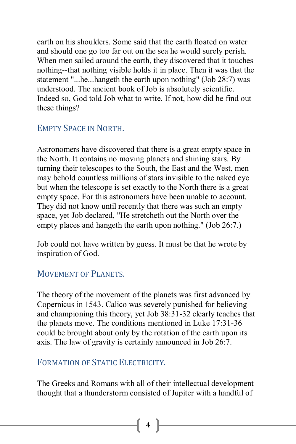earth on his shoulders. Some said that the earth floated on water and should one go too far out on the sea he would surely perish. When men sailed around the earth, they discovered that it touches nothing--that nothing visible holds it in place. Then it was that the statement "...he...hangeth the earth upon nothing" (Job 28:7) was understood. The ancient book of Job is absolutely scientific. Indeed so, God told Job what to write. If not, how did he find out these things?

### EMPTY SPACE IN NORTH.

Astronomers have discovered that there is a great empty space in the North. It contains no moving planets and shining stars. By turning their telescopes to the South, the East and the West, men may behold countless millions of stars invisible to the naked eye but when the telescope is set exactly to the North there is a great empty space. For this astronomers have been unable to account. They did not know until recently that there was such an empty space, yet Job declared, "He stretcheth out the North over the empty places and hangeth the earth upon nothing." (Job 26:7.)

Job could not have written by guess. It must be that he wrote by inspiration of God.

### MOVEMENT OF PLANETS.

The theory of the movement of the planets was first advanced by Copernicus in 1543. Calico was severely punished for believing and championing this theory, yet Job 38:31-32 clearly teaches that the planets move. The conditions mentioned in Luke 17:31-36 could be brought about only by the rotation of the earth upon its axis. The law of gravity is certainly announced in Job 26:7.

#### FORMATION OF STATIC ELECTRICITY.

The Greeks and Romans with all of their intellectual development thought that a thunderstorm consisted of Jupiter with a handful of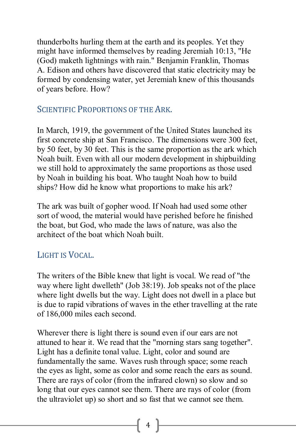thunderbolts hurling them at the earth and its peoples. Yet they might have informed themselves by reading Jeremiah 10:13, "He (God) maketh lightnings with rain." Benjamin Franklin, Thomas A. Edison and others have discovered that static electricity may be formed by condensing water, yet Jeremiah knew of this thousands of years before. How?

## SCIENTIFIC PROPORTIONS OF THE ARK.

In March, 1919, the government of the United States launched its first concrete ship at San Francisco. The dimensions were 300 feet, by 50 feet, by 30 feet. This is the same proportion as the ark which Noah built. Even with all our modern development in shipbuilding we still hold to approximately the same proportions as those used by Noah in building his boat. Who taught Noah how to build ships? How did he know what proportions to make his ark?

The ark was built of gopher wood. If Noah had used some other sort of wood, the material would have perished before he finished the boat, but God, who made the laws of nature, was also the architect of the boat which Noah built.

## LIGHT IS VOCAL.

The writers of the Bible knew that light is vocal. We read of "the way where light dwelleth" (Job 38:19). Job speaks not of the place where light dwells but the way. Light does not dwell in a place but is due to rapid vibrations of waves in the ether travelling at the rate of 186,000 miles each second.

Wherever there is light there is sound even if our ears are not attuned to hear it. We read that the "morning stars sang together". Light has a definite tonal value. Light, color and sound are fundamentally the same. Waves rush through space; some reach the eyes as light, some as color and some reach the ears as sound. There are rays of color (from the infrared clown) so slow and so long that our eyes cannot see them. There are rays of color (from the ultraviolet up) so short and so fast that we cannot see them.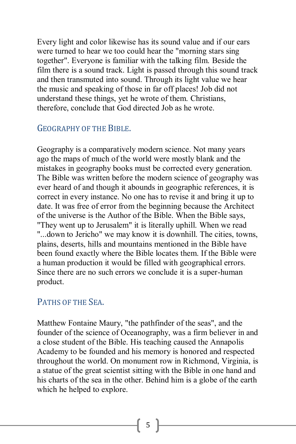Every light and color likewise has its sound value and if our ears were turned to hear we too could hear the "morning stars sing together". Everyone is familiar with the talking film. Beside the film there is a sound track. Light is passed through this sound track and then transmuted into sound. Through its light value we hear the music and speaking of those in far off places! Job did not understand these things, yet he wrote of them. Christians, therefore, conclude that God directed Job as he wrote.

#### GEOGRAPHY OF THE BIBLE.

Geography is a comparatively modern science. Not many years ago the maps of much of the world were mostly blank and the mistakes in geography books must be corrected every generation. The Bible was written before the modern science of geography was ever heard of and though it abounds in geographic references, it is correct in every instance. No one has to revise it and bring it up to date. It was free of error from the beginning because the Architect of the universe is the Author of the Bible. When the Bible says, "They went up to Jerusalem" it is literally uphill. When we read "...down to Jericho" we may know it is downhill. The cities, towns, plains, deserts, hills and mountains mentioned in the Bible have been found exactly where the Bible locates them. If the Bible were a human production it would be filled with geographical errors. Since there are no such errors we conclude it is a super-human product.

#### PATHS OF THE SEA.

Matthew Fontaine Maury, "the pathfinder of the seas", and the founder of the science of Oceanography, was a firm believer in and a close student of the Bible. His teaching caused the Annapolis Academy to be founded and his memory is honored and respected throughout the world. On monument row in Richmond, Virginia, is a statue of the great scientist sitting with the Bible in one hand and his charts of the sea in the other. Behind him is a globe of the earth which he helped to explore.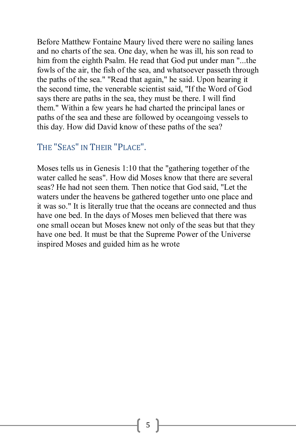Before Matthew Fontaine Maury lived there were no sailing lanes and no charts of the sea. One day, when he was ill, his son read to him from the eighth Psalm. He read that God put under man "...the fowls of the air, the fish of the sea, and whatsoever passeth through the paths of the sea." "Read that again," he said. Upon hearing it the second time, the venerable scientist said, "If the Word of God says there are paths in the sea, they must be there. I will find them." Within a few years he had charted the principal lanes or paths of the sea and these are followed by oceangoing vessels to this day. How did David know of these paths of the sea?

## THE "SEAS" IN THEIR "PLACE"

Moses tells us in Genesis 1:10 that the "gathering together of the water called he seas". How did Moses know that there are several seas? He had not seen them. Then notice that God said, "Let the waters under the heavens be gathered together unto one place and it was so." It is literally true that the oceans are connected and thus have one bed. In the days of Moses men believed that there was one small ocean but Moses knew not only of the seas but that they have one bed. It must be that the Supreme Power of the Universe inspired Moses and guided him as he wrote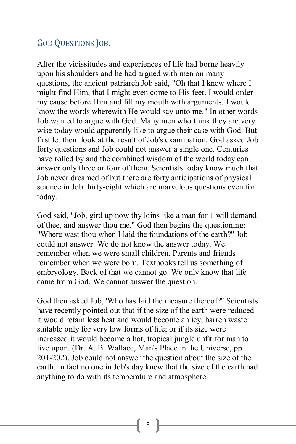## GOD QUESTIONS JOB.

After the vicissitudes and experiences of life had borne heavily upon his shoulders and he had argued with men on many questions, the ancient patriarch Job said, "Oh that I knew where I might find Him, that I might even come to His feet. I would order my cause before Him and fill my mouth with arguments. I would know the words wherewith He would say unto me." In other words Job wanted to argue with God. Many men who think they are very wise today would apparently like to argue their case with God. But first let them look at the result of Job's examination. God asked Job forty questions and Job could not answer a single one. Centuries have rolled by and the combined wisdom of the world today can answer only three or four of them. Scientists today know much that Job never dreamed of but there are forty anticipations of physical science in Job thirty-eight which are marvelous questions even for today.

God said, "Job, gird up now thy loins like a man for 1 will demand of thee, and answer thou me." God then begins the questioning: "Where wast thou when I laid the foundations of the earth?" Job could not answer. We do not know the answer today. We remember when we were small children. Parents and friends remember when we were born. Textbooks tell us something of embryology. Back of that we cannot go. We only know that life came from God. We cannot answer the question.

God then asked Job, 'Who has laid the measure thereof?" Scientists have recently pointed out that if the size of the earth were reduced it would retain less heat and would become an icy, barren waste suitable only for very low forms of life; or if its size were increased it would become a hot, tropical jungle unfit for man to live upon. (Dr. A. B. Wallace, Man's Place in the Universe, pp. 201-202). Job could not answer the question about the size of the earth. In fact no one in Job's day knew that the size of the earth had anything to do with its temperature and atmosphere.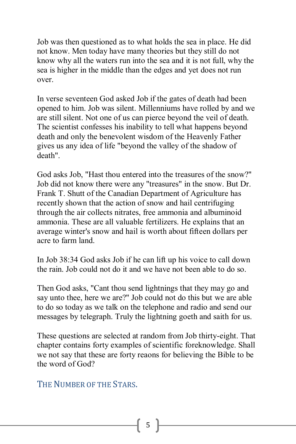Job was then questioned as to what holds the sea in place. He did not know. Men today have many theories but they still do not know why all the waters run into the sea and it is not full, why the sea is higher in the middle than the edges and yet does not run over.

In verse seventeen God asked Job if the gates of death had been opened to him. Job was silent. Millenniums have rolled by and we are still silent. Not one of us can pierce beyond the veil of death. The scientist confesses his inability to tell what happens beyond death and only the benevolent wisdom of the Heavenly Father gives us any idea of life "beyond the valley of the shadow of death".

God asks Job, "Hast thou entered into the treasures of the snow?" Job did not know there were any "treasures" in the snow. But Dr. Frank T. Shutt of the Canadian Department of Agriculture has recently shown that the action of snow and hail centrifuging through the air collects nitrates, free ammonia and albuminoid ammonia. These are all valuable fertilizers. He explains that an average winter's snow and hail is worth about fifteen dollars per acre to farm land.

In Job 38:34 God asks Job if he can lift up his voice to call down the rain. Job could not do it and we have not been able to do so.

Then God asks, "Cant thou send lightnings that they may go and say unto thee, here we are?" Job could not do this but we are able to do so today as we talk on the telephone and radio and send our messages by telegraph. Truly the lightning goeth and saith for us.

These questions are selected at random from Job thirty-eight. That chapter contains forty examples of scientific foreknowledge. Shall we not say that these are forty reaons for believing the Bible to be the word of God?

THE NUMBER OF THE STARS.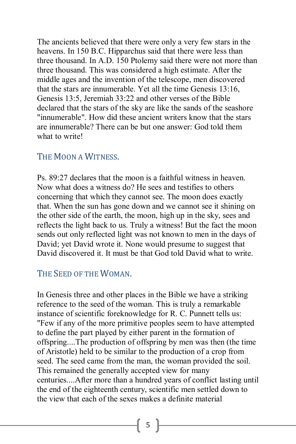The ancients believed that there were only a very few stars in the heavens. In 150 B.C. Hipparchus said that there were less than three thousand. In A.D. 150 Ptolemy said there were not more than three thousand. This was considered a high estimate. After the middle ages and the invention of the telescope, men discovered that the stars are innumerable. Yet all the time Genesis 13:16, Genesis 13:5, Jeremiah 33:22 and other verses of the Bible declared that the stars of the sky are like the sands of the seashore "innumerable". How did these ancient writers know that the stars are innumerable? There can be but one answer: God told them what to write!

#### THE MOON A WITNESS.

Ps. 89:27 declares that the moon is a faithful witness in heaven. Now what does a witness do? He sees and testifies to others concerning that which they cannot see. The moon does exactly that. When the sun has gone down and we cannot see it shining on the other side of the earth, the moon, high up in the sky, sees and reflects the light back to us. Truly a witness! But the fact the moon sends out only reflected light was not known to men in the days of David; yet David wrote it. None would presume to suggest that David discovered it. It must be that God told David what to write.

#### THE SEED OF THE WOMAN.

In Genesis three and other places in the Bible we have a striking reference to the seed of the woman. This is truly a remarkable instance of scientific foreknowledge for R. C. Punnett tells us: "Few if any of the more primitive peoples seem to have attempted to define the part played by either parent in the formation of offspring....The production of offspring by men was then (the time of Aristotle) held to be similar to the production of a crop from seed. The seed came from the man, the woman provided the soil. This remained the generally accepted view for many centuries....After more than a hundred years of conflict lasting until the end of the eighteenth century, scientific men settled down to the view that each of the sexes makes a definite material

5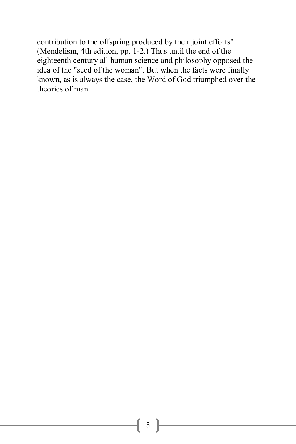contribution to the offspring produced by their joint efforts" (Mendelism, 4th edition, pp. 1-2.) Thus until the end of the eighteenth century all human science and philosophy opposed the idea of the "seed of the woman". But when the facts were finally known, as is always the case, the Word of God triumphed over the theories of man.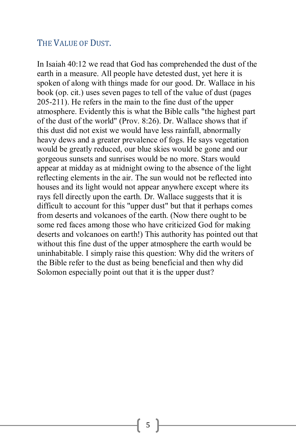#### THE VALUE OF DUST.

In Isaiah 40:12 we read that God has comprehended the dust of the earth in a measure. All people have detested dust, yet here it is spoken of along with things made for our good. Dr. Wallace in his book (op. cit.) uses seven pages to tell of the value of dust (pages 205-211). He refers in the main to the fine dust of the upper atmosphere. Evidently this is what the Bible calls "the highest part of the dust of the world" (Prov. 8:26). Dr. Wallace shows that if this dust did not exist we would have less rainfall, abnormally heavy dews and a greater prevalence of fogs. He says vegetation would be greatly reduced, our blue skies would be gone and our gorgeous sunsets and sunrises would be no more. Stars would appear at midday as at midnight owing to the absence of the light reflecting elements in the air. The sun would not be reflected into houses and its light would not appear anywhere except where its rays fell directly upon the earth. Dr. Wallace suggests that it is difficult to account for this "upper dust" but that it perhaps comes from deserts and volcanoes of the earth. (Now there ought to be some red faces among those who have criticized God for making deserts and volcanoes on earth!) This authority has pointed out that without this fine dust of the upper atmosphere the earth would be uninhabitable. I simply raise this question: Why did the writers of the Bible refer to the dust as being beneficial and then why did Solomon especially point out that it is the upper dust?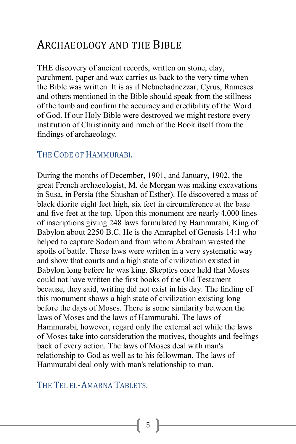# ARCHAEOLOGY AND THE BIBLE

THE discovery of ancient records, written on stone, clay, parchment, paper and wax carries us back to the very time when the Bible was written. It is as if Nebuchadnezzar, Cyrus, Rameses and others mentioned in the Bible should speak from the stillness of the tomb and confirm the accuracy and credibility of the Word of God. If our Holy Bible were destroyed we might restore every institution of Christianity and much of the Book itself from the findings of archaeology.

#### THE CODE OF HAMMURABI.

During the months of December, 1901, and January, 1902, the great French archaeologist, M. de Morgan was making excavations in Susa, in Persia (the Shushan of Esther). He discovered a mass of black diorite eight feet high, six feet in circumference at the base and five feet at the top. Upon this monument are nearly 4,000 lines of inscriptions giving 248 laws formulated by Hammurabi, King of Babylon about 2250 B.C. He is the Amraphel of Genesis 14:1 who helped to capture Sodom and from whom Abraham wrested the spoils of battle. These laws were written in a very systematic way and show that courts and a high state of civilization existed in Babylon long before he was king. Skeptics once held that Moses could not have written the first books of the Old Testament because, they said, writing did not exist in his day. The finding of this monument shows a high state of civilization existing long before the days of Moses. There is some similarity between the laws of Moses and the laws of Hammurabi. The laws of Hammurabi, however, regard only the external act while the laws of Moses take into consideration the motives, thoughts and feelings back of every action. The laws of Moses deal with man's relationship to God as well as to his fellowman. The laws of Hammurabi deal only with man's relationship to man.

#### THE TEL EL-AMARNA TABLETS.

5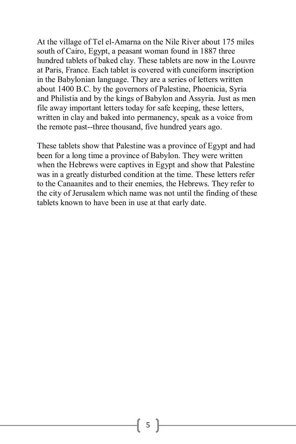At the village of Tel el-Amarna on the Nile River about 175 miles south of Cairo, Egypt, a peasant woman found in 1887 three hundred tablets of baked clay. These tablets are now in the Louvre at Paris, France. Each tablet is covered with cuneiform inscription in the Babylonian language. They are a series of letters written about 1400 B.C. by the governors of Palestine, Phoenicia, Syria and Philistia and by the kings of Babylon and Assyria. Just as men file away important letters today for safe keeping, these letters, written in clay and baked into permanency, speak as a voice from the remote past--three thousand, five hundred years ago.

These tablets show that Palestine was a province of Egypt and had been for a long time a province of Babylon. They were written when the Hebrews were captives in Egypt and show that Palestine was in a greatly disturbed condition at the time. These letters refer to the Canaanites and to their enemies, the Hebrews. They refer to the city of Jerusalem which name was not until the finding of these tablets known to have been in use at that early date.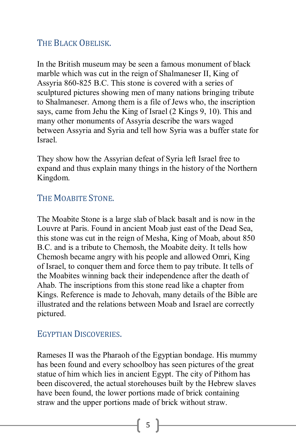## THE BLACK OBELISK.

In the British museum may be seen a famous monument of black marble which was cut in the reign of Shalmaneser II, King of Assyria 860-825 B.C. This stone is covered with a series of sculptured pictures showing men of many nations bringing tribute to Shalmaneser. Among them is a file of Jews who, the inscription says, came from Jehu the King of Israel (2 Kings 9, 10). This and many other monuments of Assyria describe the wars waged between Assyria and Syria and tell how Syria was a buffer state for Israel.

They show how the Assyrian defeat of Syria left Israel free to expand and thus explain many things in the history of the Northern Kingdom.

## THE MOABITE STONE.

The Moabite Stone is a large slab of black basalt and is now in the Louvre at Paris. Found in ancient Moab just east of the Dead Sea, this stone was cut in the reign of Mesha, King of Moab, about 850 B.C. and is a tribute to Chemosh, the Moabite deity. It tells how Chemosh became angry with his people and allowed Omri, King of Israel, to conquer them and force them to pay tribute. It tells of the Moabites winning back their independence after the death of Ahab. The inscriptions from this stone read like a chapter from Kings. Reference is made to Jehovah, many details of the Bible are illustrated and the relations between Moab and Israel are correctly pictured.

## EGYPTIAN DISCOVERIES.

Rameses II was the Pharaoh of the Egyptian bondage. His mummy has been found and every schoolboy has seen pictures of the great statue of him which lies in ancient Egypt. The city of Pithom has been discovered, the actual storehouses built by the Hebrew slaves have been found, the lower portions made of brick containing straw and the upper portions made of brick without straw.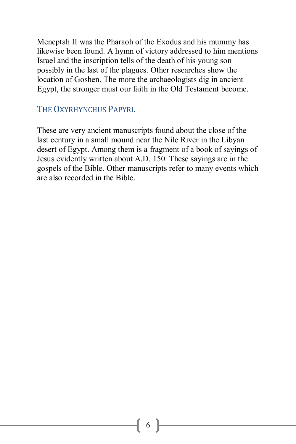Meneptah II was the Pharaoh of the Exodus and his mummy has likewise been found. A hymn of victory addressed to him mentions Israel and the inscription tells of the death of his young son possibly in the last of the plagues. Other researches show the location of Goshen. The more the archaeologists dig in ancient Egypt, the stronger must our faith in the Old Testament become.

## THE OXYRHYNCHUS PAPYRI.

These are very ancient manuscripts found about the close of the last century in a small mound near the Nile River in the Libyan desert of Egypt. Among them is a fragment of a book of sayings of Jesus evidently written about A.D. 150. These sayings are in the gospels of the Bible. Other manuscripts refer to many events which are also recorded in the Bible.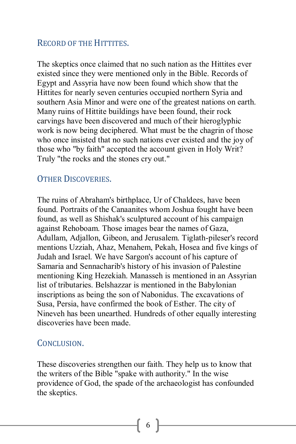## RECORD OF THE HITTITES.

The skeptics once claimed that no such nation as the Hittites ever existed since they were mentioned only in the Bible. Records of Egypt and Assyria have now been found which show that the Hittites for nearly seven centuries occupied northern Syria and southern Asia Minor and were one of the greatest nations on earth. Many ruins of Hittite buildings have been found, their rock carvings have been discovered and much of their hieroglyphic work is now being deciphered. What must be the chagrin of those who once insisted that no such nations ever existed and the joy of those who "by faith" accepted the account given in Holy Writ? Truly "the rocks and the stones cry out."

### OTHER DISCOVERIES.

The ruins of Abraham's birthplace, Ur of Chaldees, have been found. Portraits of the Canaanites whom Joshua fought have been found, as well as Shishak's sculptured account of his campaign against Rehoboam. Those images bear the names of Gaza, Adullam, Adjallon, Gibeon, and Jerusalem. Tiglath-pileser's record mentions Uzziah, Ahaz, Menahem, Pekah, Hosea and five kings of Judah and Israel. We have Sargon's account of his capture of Samaria and Sennacharib's history of his invasion of Palestine mentioning King Hezekiah. Manasseh is mentioned in an Assyrian list of tributaries. Belshazzar is mentioned in the Babylonian inscriptions as being the son of Nabonidus. The excavations of Susa, Persia, have confirmed the book of Esther. The city of Nineveh has been unearthed. Hundreds of other equally interesting discoveries have been made.

## CONCLUSION.

These discoveries strengthen our faith. They help us to know that the writers of the Bible "spake with authority." In the wise providence of God, the spade of the archaeologist has confounded the skeptics.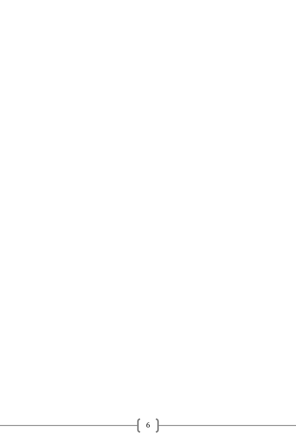$\left( 6\right)$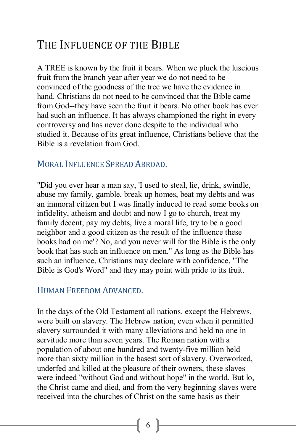# THE INFLUENCE OF THE BIBLE

A TREE is known by the fruit it bears. When we pluck the luscious fruit from the branch year after year we do not need to be convinced of the goodness of the tree we have the evidence in hand. Christians do not need to be convinced that the Bible came from God--they have seen the fruit it bears. No other book has ever had such an influence. It has always championed the right in every controversy and has never done despite to the individual who studied it. Because of its great influence, Christians believe that the Bible is a revelation from God.

## MORAL INFLUENCE SPREAD ABROAD.

"Did you ever hear a man say, 'I used to steal, lie, drink, swindle, abuse my family, gamble, break up homes, beat my debts and was an immoral citizen but I was finally induced to read some books on infidelity, atheism and doubt and now I go to church, treat my family decent, pay my debts, live a moral life, try to be a good neighbor and a good citizen as the result of the influence these books had on me'? No, and you never will for the Bible is the only book that has such an influence on men." As long as the Bible has such an influence, Christians may declare with confidence, "The Bible is God's Word" and they may point with pride to its fruit.

### HUMAN FREEDOM ADVANCED.

In the days of the Old Testament all nations. except the Hebrews, were built on slavery. The Hebrew nation, even when it permitted slavery surrounded it with many alleviations and held no one in servitude more than seven years. The Roman nation with a population of about one hundred and twenty-five million held more than sixty million in the basest sort of slavery. Overworked, underfed and killed at the pleasure of their owners, these slaves were indeed "without God and without hope" in the world. But lo, the Christ came and died, and from the very beginning slaves were received into the churches of Christ on the same basis as their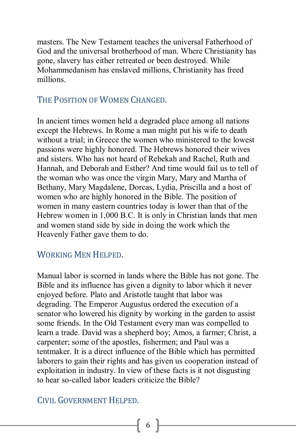masters. The New Testament teaches the universal Fatherhood of God and the universal brotherhood of man. Where Christianity has gone, slavery has either retreated or been destroyed. While Mohammedanism has enslaved millions, Christianity has freed millions.

## THE POSITION OF WOMEN CHANGED.

In ancient times women held a degraded place among all nations except the Hebrews. In Rome a man might put his wife to death without a trial; in Greece the women who ministered to the lowest passions were highly honored. The Hebrews honored their wives and sisters. Who has not heard of Rebekah and Rachel, Ruth and Hannah, and Deborah and Esther? And time would fail us to tell of the woman who was once the virgin Mary, Mary and Martha of Bethany, Mary Magdalene, Dorcas, Lydia, Priscilla and a host of women who are highly honored in the Bible. The position of women in many eastern countries today is lower than that of the Hebrew women in 1,000 B.C. It is only in Christian lands that men and women stand side by side in doing the work which the Heavenly Father gave them to do.

#### WORKING MEN HELPED.

Manual labor is scorned in lands where the Bible has not gone. The Bible and its influence has given a dignity to labor which it never enjoyed before. Plato and Aristotle taught that labor was degrading. The Emperor Augustus ordered the execution of a senator who lowered his dignity by working in the garden to assist some friends. In the Old Testament every man was compelled to learn a trade. David was a shepherd boy; Amos, a farmer; Christ, a carpenter; some of the apostles, fishermen; and Paul was a tentmaker. It is a direct influence of the Bible which has permitted laborers to gain their rights and has given us cooperation instead of exploitation in industry. In view of these facts is it not disgusting to hear so-called labor leaders criticize the Bible?

### CIVIL GOVERNMENT HELPED.

6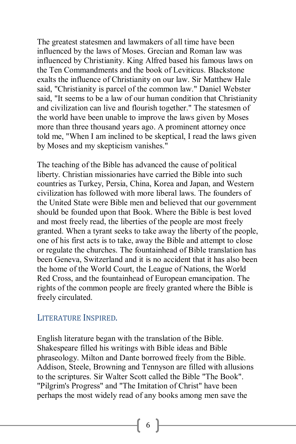The greatest statesmen and lawmakers of all time have been influenced by the laws of Moses. Grecian and Roman law was influenced by Christianity. King Alfred based his famous laws on the Ten Commandments and the book of Leviticus. Blackstone exalts the influence of Christianity on our law. Sir Matthew Hale said, "Christianity is parcel of the common law." Daniel Webster said, "It seems to be a law of our human condition that Christianity and civilization can live and flourish together." The statesmen of the world have been unable to improve the laws given by Moses more than three thousand years ago. A prominent attorney once told me, "When I am inclined to be skeptical, I read the laws given by Moses and my skepticism vanishes."

The teaching of the Bible has advanced the cause of political liberty. Christian missionaries have carried the Bible into such countries as Turkey, Persia, China, Korea and Japan, and Western civilization has followed with more liberal laws. The founders of the United State were Bible men and believed that our government should be founded upon that Book. Where the Bible is best loved and most freely read, the liberties of the people are most freely granted. When a tyrant seeks to take away the liberty of the people, one of his first acts is to take, away the Bible and attempt to close or regulate the churches. The fountainhead of Bible translation has been Geneva, Switzerland and it is no accident that it has also been the home of the World Court, the League of Nations, the World Red Cross, and the fountainhead of European emancipation. The rights of the common people are freely granted where the Bible is freely circulated.

#### LITERATURE INSPIRED.

English literature began with the translation of the Bible. Shakespeare filled his writings with Bible ideas and Bible phraseology. Milton and Dante borrowed freely from the Bible. Addison, Steele, Browning and Tennyson are filled with allusions to the scriptures. Sir Walter Scott called the Bible "The Book". "Pilgrim's Progress" and "The Imitation of Christ" have been perhaps the most widely read of any books among men save the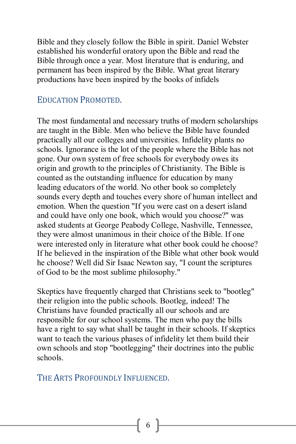Bible and they closely follow the Bible in spirit. Daniel Webster established his wonderful oratory upon the Bible and read the Bible through once a year. Most literature that is enduring, and permanent has been inspired by the Bible. What great literary productions have been inspired by the books of infidels

#### EDUCATION PROMOTED.

The most fundamental and necessary truths of modern scholarships are taught in the Bible. Men who believe the Bible have founded practically all our colleges and universities. Infidelity plants no schools. Ignorance is the lot of the people where the Bible has not gone. Our own system of free schools for everybody owes its origin and growth to the principles of Christianity. The Bible is counted as the outstanding influence for education by many leading educators of the world. No other book so completely sounds every depth and touches every shore of human intellect and emotion. When the question "If you were cast on a desert island and could have only one book, which would you choose?" was asked students at George Peabody College, Nashville, Tennessee, they were almost unanimous in their choice of the Bible. If one were interested only in literature what other book could he choose? If he believed in the inspiration of the Bible what other book would he choose? Well did Sir Isaac Newton say, "I count the scriptures of God to be the most sublime philosophy."

Skeptics have frequently charged that Christians seek to "bootleg" their religion into the public schools. Bootleg, indeed! The Christians have founded practically all our schools and are responsible for our school systems. The men who pay the bills have a right to say what shall be taught in their schools. If skeptics want to teach the various phases of infidelity let them build their own schools and stop "bootlegging" their doctrines into the public schools.

THE ARTS PROFOUNDLY INFLUENCED.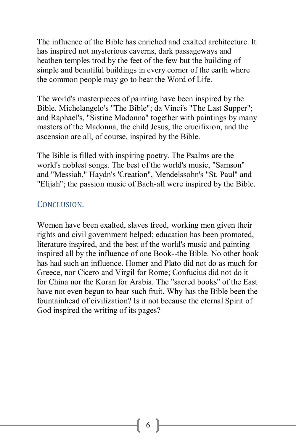The influence of the Bible has enriched and exalted architecture. It has inspired not mysterious caverns, dark passageways and heathen temples trod by the feet of the few but the building of simple and beautiful buildings in every corner of the earth where the common people may go to hear the Word of Life.

The world's masterpieces of painting have been inspired by the Bible. Michelangelo's "The Bible"; da Vinci's "The Last Supper"; and Raphael's, "Sistine Madonna" together with paintings by many masters of the Madonna, the child Jesus, the crucifixion, and the ascension are all, of course, inspired by the Bible.

The Bible is filled with inspiring poetry. The Psalms are the world's noblest songs. The best of the world's music, "Samson" and "Messiah," Haydn's 'Creation", Mendelssohn's "St. Paul" and "Elijah"; the passion music of Bach-all were inspired by the Bible.

## CONCLUSION.

Women have been exalted, slaves freed, working men given their rights and civil government helped; education has been promoted, literature inspired, and the best of the world's music and painting inspired all by the influence of one Book--the Bible. No other book has had such an influence. Homer and Plato did not do as much for Greece, nor Cicero and Virgil for Rome; Confucius did not do it for China nor the Koran for Arabia. The "sacred books" of the East have not even begun to bear such fruit. Why has the Bible been the fountainhead of civilization? Is it not because the eternal Spirit of God inspired the writing of its pages?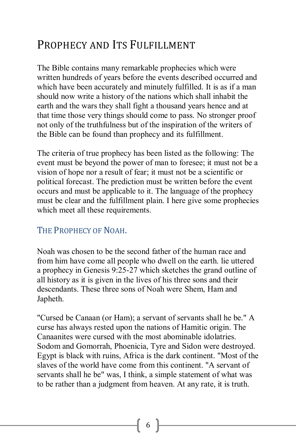# PROPHECY AND ITS FULFILLMENT

The Bible contains many remarkable prophecies which were written hundreds of years before the events described occurred and which have been accurately and minutely fulfilled. It is as if a man should now write a history of the nations which shall inhabit the earth and the wars they shall fight a thousand years hence and at that time those very things should come to pass. No stronger proof not only of the truthfulness but of the inspiration of the writers of the Bible can be found than prophecy and its fulfillment.

The criteria of true prophecy has been listed as the following: The event must be beyond the power of man to foresee; it must not be a vision of hope nor a result of fear; it must not be a scientific or political forecast. The prediction must be written before the event occurs and must be applicable to it. The language of the prophecy must be clear and the fulfillment plain. I here give some prophecies which meet all these requirements.

## THE PROPHECY OF NOAH.

Noah was chosen to be the second father of the human race and from him have come all people who dwell on the earth. lie uttered a prophecy in Genesis 9:25-27 which sketches the grand outline of all history as it is given in the lives of his three sons and their descendants. These three sons of Noah were Shem, Ham and Japheth.

"Cursed be Canaan (or Ham); a servant of servants shall he be." A curse has always rested upon the nations of Hamitic origin. The Canaanites were cursed with the most abominable idolatries. Sodom and Gomorrah, Phoenicia, Tyre and Sidon were destroyed. Egypt is black with ruins, Africa is the dark continent. "Most of the slaves of the world have come from this continent. "A servant of servants shall he be" was, I think, a simple statement of what was to be rather than a judgment from heaven. At any rate, it is truth.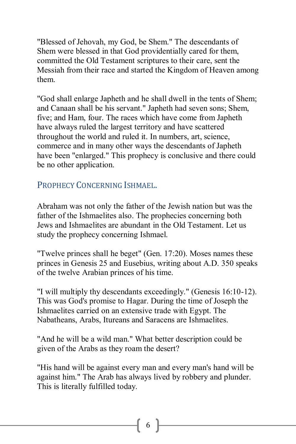"Blessed of Jehovah, my God, be Shem." The descendants of Shem were blessed in that God providentially cared for them, committed the Old Testament scriptures to their care, sent the Messiah from their race and started the Kingdom of Heaven among them.

"God shall enlarge Japheth and he shall dwell in the tents of Shem; and Canaan shall be his servant." Japheth had seven sons; Shem, five; and Ham, four. The races which have come from Japheth have always ruled the largest territory and have scattered throughout the world and ruled it. In numbers, art, science, commerce and in many other ways the descendants of Japheth have been "enlarged." This prophecy is conclusive and there could be no other application.

## PROPHECY CONCERNING ISHMAEL.

Abraham was not only the father of the Jewish nation but was the father of the Ishmaelites also. The prophecies concerning both Jews and Ishmaelites are abundant in the Old Testament. Let us study the prophecy concerning Ishmael.

"Twelve princes shall he beget" (Gen. 17:20). Moses names these princes in Genesis 25 and Eusebius, writing about A.D. 350 speaks of the twelve Arabian princes of his time.

"I will multiply thy descendants exceedingly." (Genesis 16:10-12). This was God's promise to Hagar. During the time of Joseph the Ishmaelites carried on an extensive trade with Egypt. The Nabatheans, Arabs, Itureans and Saracens are Ishmaelites.

"And he will be a wild man." What better description could be given of the Arabs as they roam the desert?

"His hand will be against every man and every man's hand will be against him." The Arab has always lived by robbery and plunder. This is literally fulfilled today.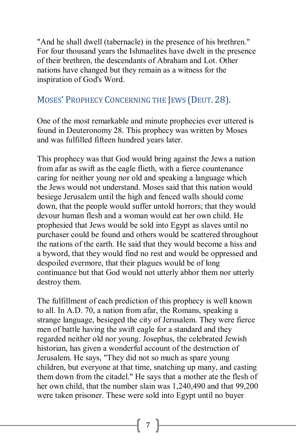"And he shall dwell (tabernacle) in the presence of his brethren." For four thousand years the Ishmaelites have dwelt in the presence of their brethren, the descendants of Abraham and Lot. Other nations have changed but they remain as a witness for the inspiration of God's Word.

## MOSES' PROPHECY CONCERNING THE JEWS (DEUT. 28).

One of the most remarkable and minute prophecies ever uttered is found in Deuteronomy 28. This prophecy was written by Moses and was fulfilled fifteen hundred years later.

This prophecy was that God would bring against the Jews a nation from afar as swift as the eagle flieth, with a fierce countenance caring for neither young nor old and speaking a language which the Jews would not understand. Moses said that this nation would besiege Jerusalem until the high and fenced walls should come down, that the people would suffer untold horrors; that they would devour human flesh and a woman would eat her own child. He prophesied that Jews would be sold into Egypt as slaves until no purchaser could be found and others would be scattered throughout the nations of the earth. He said that they would become a hiss and a byword, that they would find no rest and would be oppressed and despoiled evermore, that their plagues would be of long continuance but that God would not utterly abhor them nor utterly destroy them.

The fulfillment of each prediction of this prophecy is well known to all. In A.D. 70, a nation from afar, the Romans, speaking a strange language, besieged the city of Jerusalem. They were fierce men of battle having the swift eagle for a standard and they regarded neither old nor young. Josephus, the celebrated Jewish historian, has given a wonderful account of the destruction of Jerusalem. He says, "They did not so much as spare young children, but everyone at that time, snatching up many, and casting them down from the citadel." He says that a mother ate the flesh of her own child, that the number slain was 1,240,490 and that 99,200 were taken prisoner. These were sold into Egypt until no buyer

7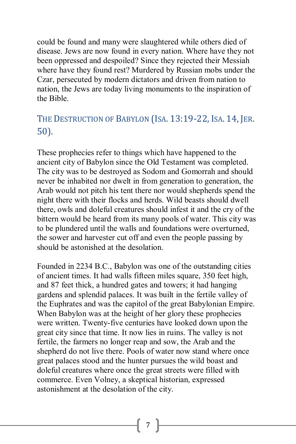could be found and many were slaughtered while others died of disease. Jews are now found in every nation. Where have they not been oppressed and despoiled? Since they rejected their Messiah where have they found rest? Murdered by Russian mobs under the Czar, persecuted by modern dictators and driven from nation to nation, the Jews are today living monuments to the inspiration of the Bible.

## THE DESTRUCTION OF BABYLON (ISA. 13:19-22, ISA. 14, JER. 50).

These prophecies refer to things which have happened to the ancient city of Babylon since the Old Testament was completed. The city was to be destroyed as Sodom and Gomorrah and should never be inhabited nor dwelt in from generation to generation, the Arab would not pitch his tent there nor would shepherds spend the night there with their flocks and herds. Wild beasts should dwell there, owls and doleful creatures should infest it and the cry of the bittern would be heard from its many pools of water. This city was to be plundered until the walls and foundations were overturned, the sower and harvester cut off and even the people passing by should be astonished at the desolation.

Founded in 2234 B.C., Babylon was one of the outstanding cities of ancient times. It had walls fifteen miles square, 350 feet high, and 87 feet thick, a hundred gates and towers; it had hanging gardens and splendid palaces. It was built in the fertile valley of the Euphrates and was the capitol of the great Babylonian Empire. When Babylon was at the height of her glory these prophecies were written. Twenty-five centuries have looked down upon the great city since that time. It now lies in ruins. The valley is not fertile, the farmers no longer reap and sow, the Arab and the shepherd do not live there. Pools of water now stand where once great palaces stood and the hunter pursues the wild boast and doleful creatures where once the great streets were filled with commerce. Even Volney, a skeptical historian, expressed astonishment at the desolation of the city.

7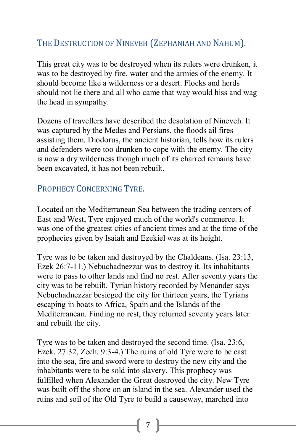## THE DESTRUCTION OF NINEVEH (ZEPHANIAH AND NAHUM).

This great city was to be destroyed when its rulers were drunken, it was to be destroyed by fire, water and the armies of the enemy. It should become like a wilderness or a desert. Flocks and herds should not lie there and all who came that way would hiss and wag the head in sympathy.

Dozens of travellers have described the desolation of Nineveh. It was captured by the Medes and Persians, the floods ail fires assisting them. Diodorus, the ancient historian, tells how its rulers and defenders were too drunken to cope with the enemy. The city is now a dry wilderness though much of its charred remains have been excavated, it has not been rebuilt.

## PROPHECY CONCERNING TYRE.

Located on the Mediterranean Sea between the trading centers of East and West, Tyre enjoyed much of the world's commerce. It was one of the greatest cities of ancient times and at the time of the prophecies given by Isaiah and Ezekiel was at its height.

Tyre was to be taken and destroyed by the Chaldeans. (Isa. 23:13, Ezek 26:7-11.) Nebuchadnezzar was to destroy it. Its inhabitants were to pass to other lands and find no rest. After seventy years the city was to be rebuilt. Tyrian history recorded by Menander says Nebuchadnezzar besieged the city for thirteen years, the Tyrians escaping in boats to Africa, Spain and the Islands of the Mediterranean. Finding no rest, they returned seventy years later and rebuilt the city.

Tyre was to be taken and destroyed the second time. (Isa. 23:6, Ezek. 27:32, Zech. 9:3-4.) The ruins of old Tyre were to be cast into the sea, fire and sword were to destroy the new city and the inhabitants were to be sold into slavery. This prophecy was fulfilled when Alexander the Great destroyed the city. New Tyre was built off the shore on an island in the sea. Alexander used the ruins and soil of the Old Tyre to build a causeway, marched into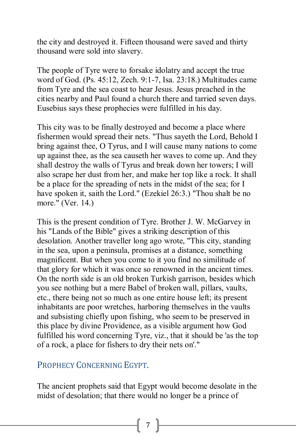the city and destroyed it. Fifteen thousand were saved and thirty thousand were sold into slavery.

The people of Tyre were to forsake idolatry and accept the true word of God. (Ps. 45:12, Zech. 9:1-7, Isa. 23:18.) Multitudes came from Tyre and the sea coast to hear Jesus. Jesus preached in the cities nearby and Paul found a church there and tarried seven days. Eusebius says these prophecies were fulfilled in his day.

This city was to be finally destroyed and become a place where fishermen would spread their nets. "Thus sayeth the Lord, Behold I bring against thee, O Tyrus, and I will cause many nations to come up against thee, as the sea causeth her waves to come up. And they shall destroy the walls of Tyrus and break down her towers; I will also scrape her dust from her, and make her top like a rock. It shall be a place for the spreading of nets in the midst of the sea; for I have spoken it, saith the Lord." (Ezekiel 26:3.) "Thou shalt be no more." (Ver. 14.)

This is the present condition of Tyre. Brother J. W. McGarvey in his "Lands of the Bible" gives a striking description of this desolation. Another traveller long ago wrote, "This city, standing in the sea, upon a peninsula, promises at a distance, something magnificent. But when you come to it you find no similitude of that glory for which it was once so renowned in the ancient times. On the north side is an old broken Turkish garrison, besides which you see nothing but a mere Babel of broken wall, pillars, vaults, etc., there being not so much as one entire house left; its present inhabitants are poor wretches, harboring themselves in the vaults and subsisting chiefly upon fishing, who seem to be preserved in this place by divine Providence, as a visible argument how God fulfilled his word concerning Tyre, viz., that it should be 'as the top of a rock, a place for fishers to dry their nets on'."

#### PROPHECY CONCERNING EGYPT.

The ancient prophets said that Egypt would become desolate in the midst of desolation; that there would no longer be a prince of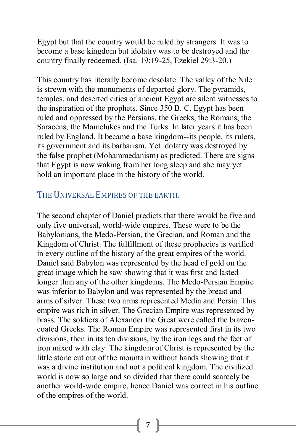Egypt but that the country would be ruled by strangers. It was to become a base kingdom but idolatry was to be destroyed and the country finally redeemed. (Isa. 19:19-25, Ezekiel 29:3-20.)

This country has literally become desolate. The valley of the Nile is strewn with the monuments of departed glory. The pyramids, temples, and deserted cities of ancient Egypt are silent witnesses to the inspiration of the prophets. Since 350 B. C. Egypt has been ruled and oppressed by the Persians, the Greeks, the Romans, the Saracens, the Mamelukes and the Turks. In later years it has been ruled by England. It became a base kingdom--its people, its rulers, its government and its barbarism. Yet idolatry was destroyed by the false prophet (Mohammedanism) as predicted. There are signs that Egypt is now waking from her long sleep and she may yet hold an important place in the history of the world.

#### THE UNIVERSAL EMPIRES OF THE EARTH.

The second chapter of Daniel predicts that there would be five and only five universal, world-wide empires. These were to be the Babylonians, the Medo-Persian, the Grecian, and Roman and the Kingdom of Christ. The fulfillment of these prophecies is verified in every outline of the history of the great empires of the world. Daniel said Babylon was represented by the head of gold on the great image which he saw showing that it was first and lasted longer than any of the other kingdoms. The Medo-Persian Empire was inferior to Babylon and was represented by the breast and arms of silver. These two arms represented Media and Persia. This empire was rich in silver. The Grecian Empire was represented by brass. The soldiers of Alexander the Great were called the brazencoated Greeks. The Roman Empire was represented first in its two divisions, then in its ten divisions, by the iron legs and the feet of iron mixed with clay. The kingdom of Christ is represented by the little stone cut out of the mountain without hands showing that it was a divine institution and not a political kingdom. The civilized world is now so large and so divided that there could scarcely be another world-wide empire, hence Daniel was correct in his outline of the empires of the world.

7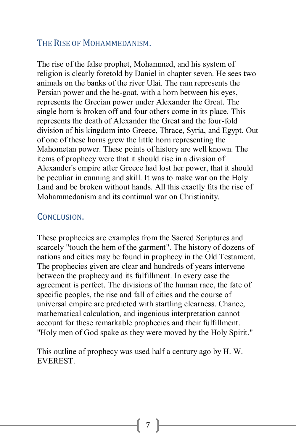## THE RISE OF MOHAMMEDANISM.

The rise of the false prophet, Mohammed, and his system of religion is clearly foretold by Daniel in chapter seven. He sees two animals on the banks of the river Ulai. The ram represents the Persian power and the he-goat, with a horn between his eyes, represents the Grecian power under Alexander the Great. The single horn is broken off and four others come in its place. This represents the death of Alexander the Great and the four-fold division of his kingdom into Greece, Thrace, Syria, and Egypt. Out of one of these horns grew the little horn representing the Mahometan power. These points of history are well known. The items of prophecy were that it should rise in a division of Alexander's empire after Greece had lost her power, that it should be peculiar in cunning and skill. It was to make war on the Holy Land and be broken without hands. All this exactly fits the rise of Mohammedanism and its continual war on Christianity.

## CONCLUSION.

These prophecies are examples from the Sacred Scriptures and scarcely "touch the hem of the garment". The history of dozens of nations and cities may be found in prophecy in the Old Testament. The prophecies given are clear and hundreds of years intervene between the prophecy and its fulfillment. In every case the agreement is perfect. The divisions of the human race, the fate of specific peoples, the rise and fall of cities and the course of universal empire are predicted with startling clearness. Chance, mathematical calculation, and ingenious interpretation cannot account for these remarkable prophecies and their fulfillment. "Holy men of God spake as they were moved by the Holy Spirit."

This outline of prophecy was used half a century ago by H. W. **EVEREST**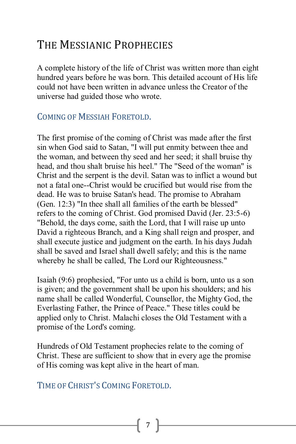# THE MESSIANIC PROPHECIES

A complete history of the life of Christ was written more than eight hundred years before he was born. This detailed account of His life could not have been written in advance unless the Creator of the universe had guided those who wrote.

# COMING OF MESSIAH FORETOLD.

The first promise of the coming of Christ was made after the first sin when God said to Satan, "I will put enmity between thee and the woman, and between thy seed and her seed; it shall bruise thy head, and thou shalt bruise his heel." The "Seed of the woman" is Christ and the serpent is the devil. Satan was to inflict a wound but not a fatal one--Christ would be crucified but would rise from the dead. He was to bruise Satan's head. The promise to Abraham (Gen. 12:3) "In thee shall all families of the earth be blessed" refers to the coming of Christ. God promised David (Jer. 23:5-6) "Behold, the days come, saith the Lord, that I will raise up unto David a righteous Branch, and a King shall reign and prosper, and shall execute justice and judgment on the earth. In his days Judah shall be saved and Israel shall dwell safely; and this is the name whereby he shall be called, The Lord our Righteousness."

Isaiah (9:6) prophesied, "For unto us a child is born, unto us a son is given; and the government shall be upon his shoulders; and his name shall be called Wonderful, Counsellor, the Mighty God, the Everlasting Father, the Prince of Peace." These titles could be applied only to Christ. Malachi closes the Old Testament with a promise of the Lord's coming.

Hundreds of Old Testament prophecies relate to the coming of Christ. These are sufficient to show that in every age the promise of His coming was kept alive in the heart of man.

TIME OF CHRIST'S COMING FORETOLD.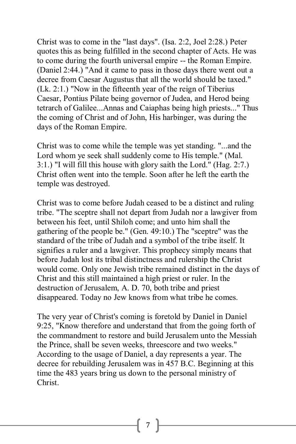Christ was to come in the "last days". (Isa. 2:2, Joel 2:28.) Peter quotes this as being fulfilled in the second chapter of Acts. He was to come during the fourth universal empire -- the Roman Empire. (Daniel 2:44.) "And it came to pass in those days there went out a decree from Caesar Augustus that all the world should be taxed." (Lk. 2:1.) "Now in the fifteenth year of the reign of Tiberius Caesar, Pontius Pilate being governor of Judea, and Herod being tetrarch of Galilee...Annas and Caiaphas being high priests..." Thus the coming of Christ and of John, His harbinger, was during the days of the Roman Empire.

Christ was to come while the temple was yet standing. "...and the Lord whom ye seek shall suddenly come to His temple." (Mal. 3:1.) "I will fill this house with glory saith the Lord." (Hag. 2:7.) Christ often went into the temple. Soon after he left the earth the temple was destroyed.

Christ was to come before Judah ceased to be a distinct and ruling tribe. "The sceptre shall not depart from Judah nor a lawgiver from between his feet, until Shiloh come; and unto him shall the gathering of the people be." (Gen. 49:10.) The "sceptre" was the standard of the tribe of Judah and a symbol of the tribe itself. It signifies a ruler and a lawgiver. This prophecy simply means that before Judah lost its tribal distinctness and rulership the Christ would come. Only one Jewish tribe remained distinct in the days of Christ and this still maintained a high priest or ruler. In the destruction of Jerusalem, A. D. 70, both tribe and priest disappeared. Today no Jew knows from what tribe he comes.

The very year of Christ's coming is foretold by Daniel in Daniel 9:25, "Know therefore and understand that from the going forth of the commandment to restore and build Jerusalem unto the Messiah the Prince, shall be seven weeks, threescore and two weeks." According to the usage of Daniel, a day represents a year. The decree for rebuilding Jerusalem was in 457 B.C. Beginning at this time the 483 years bring us down to the personal ministry of Christ.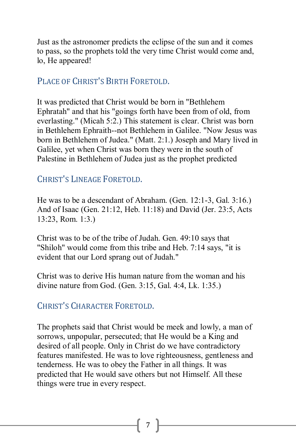Just as the astronomer predicts the eclipse of the sun and it comes to pass, so the prophets told the very time Christ would come and, lo, He appeared!

## PLACE OF CHRIST'S BIRTH FORETOLD.

It was predicted that Christ would be born in "Bethlehem Ephratah" and that his "goings forth have been from of old, from everlasting." (Micah 5:2.) This statement is clear. Christ was born in Bethlehem Ephraith--not Bethlehem in Galilee. "Now Jesus was born in Bethlehem of Judea." (Matt. 2:1.) Joseph and Mary lived in Galilee, yet when Christ was born they were in the south of Palestine in Bethlehem of Judea just as the prophet predicted

# CHRIST'S LINEAGE FORETOLD.

He was to be a descendant of Abraham. (Gen. 12:1-3, Gal. 3:16.) And of Isaac (Gen. 21:12, Heb. 11:18) and David (Jer. 23:5, Acts 13:23, Rom. 1:3.)

Christ was to be of the tribe of Judah. Gen. 49:10 says that "Shiloh" would come from this tribe and Heb. 7:14 says, "it is evident that our Lord sprang out of Judah."

Christ was to derive His human nature from the woman and his divine nature from God. (Gen. 3:15, Gal. 4:4, Lk. 1:35.)

# CHRIST'S CHARACTER FORETOLD.

The prophets said that Christ would be meek and lowly, a man of sorrows, unpopular, persecuted; that He would be a King and desired of all people. Only in Christ do we have contradictory features manifested. He was to love righteousness, gentleness and tenderness. He was to obey the Father in all things. It was predicted that He would save others but not Himself. All these things were true in every respect.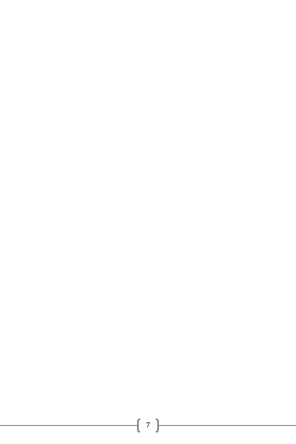$\begin{array}{c} \begin{array}{c} \begin{array}{c} \end{array} \end{array}$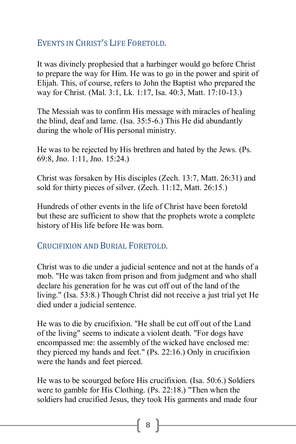## EVENTS IN CHRIST'S LIFE FORETOLD.

It was divinely prophesied that a harbinger would go before Christ to prepare the way for Him. He was to go in the power and spirit of Elijah. This, of course, refers to John the Baptist who prepared the way for Christ. (Mal. 3:1, Lk. 1:17, Isa. 40:3, Matt. 17:10-13.)

The Messiah was to confirm His message with miracles of healing the blind, deaf and lame. (Isa. 35:5-6.) This He did abundantly during the whole of His personal ministry.

He was to be rejected by His brethren and hated by the Jews. (Ps. 69:8, Jno. 1:11, Jno. 15:24.)

Christ was forsaken by His disciples (Zech. 13:7, Matt. 26:31) and sold for thirty pieces of silver. (Zech. 11:12, Matt. 26:15.)

Hundreds of other events in the life of Christ have been foretold but these are sufficient to show that the prophets wrote a complete history of His life before He was born.

## CRUCIFIXION AND BURIAL FORETOLD.

Christ was to die under a judicial sentence and not at the hands of a mob. "He was taken from prison and from judgment and who shall declare his generation for he was cut off out of the land of the living." (Isa. 53:8.) Though Christ did not receive a just trial yet He died under a judicial sentence.

He was to die by crucifixion. "He shall be cut off out of the Land of the living" seems to indicate a violent death. "For dogs have encompassed me: the assembly of the wicked have enclosed me: they pierced my hands and feet." (Ps. 22:16.) Only in crucifixion were the hands and feet pierced.

He was to be scourged before His crucifixion. (Isa. 50:6.) Soldiers were to gamble for His Clothing. (Ps. 22:18.) "Then when the soldiers had crucified Jesus, they took His garments and made four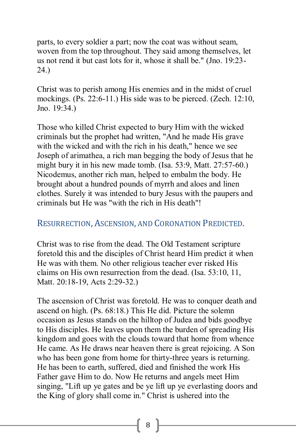parts, to every soldier a part; now the coat was without seam, woven from the top throughout. They said among themselves, let us not rend it but cast lots for it, whose it shall be." (Jno. 19:23- 24.)

Christ was to perish among His enemies and in the midst of cruel mockings. (Ps. 22:6-11.) His side was to be pierced. (Zech. 12:10, Jno. 19:34.)

Those who killed Christ expected to bury Him with the wicked criminals but the prophet had written, "And he made His grave with the wicked and with the rich in his death," hence we see Joseph of arimathea, a rich man begging the body of Jesus that he might bury it in his new made tomb. (Isa. 53:9, Matt. 27:57-60.) Nicodemus, another rich man, helped to embalm the body. He brought about a hundred pounds of myrrh and aloes and linen clothes. Surely it was intended to bury Jesus with the paupers and criminals but He was "with the rich in His death"!

#### RESURRECTION, ASCENSION, AND CORONATION PREDICTED.

Christ was to rise from the dead. The Old Testament scripture foretold this and the disciples of Christ heard Him predict it when He was with them. No other religious teacher ever risked His claims on His own resurrection from the dead. (Isa. 53:10, 11, Matt. 20:18-19, Acts 2:29-32.)

The ascension of Christ was foretold. He was to conquer death and ascend on high. (Ps. 68:18.) This He did. Picture the solemn occasion as Jesus stands on the hilltop of Judea and bids goodbye to His disciples. He leaves upon them the burden of spreading His kingdom and goes with the clouds toward that home from whence He came. As He draws near heaven there is great rejoicing. A Son who has been gone from home for thirty-three years is returning. He has been to earth, suffered, died and finished the work His Father gave Him to do. Now He returns and angels meet Him singing, "Lift up ye gates and be ye lift up ye everlasting doors and the King of glory shall come in." Christ is ushered into the

8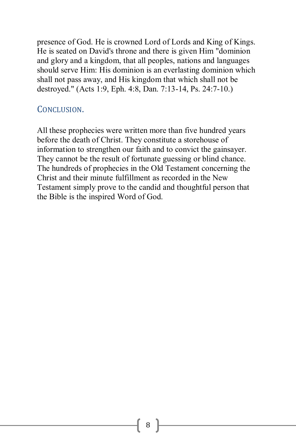presence of God. He is crowned Lord of Lords and King of Kings. He is seated on David's throne and there is given Him "dominion and glory and a kingdom, that all peoples, nations and languages should serve Him: His dominion is an everlasting dominion which shall not pass away, and His kingdom that which shall not be destroyed." (Acts 1:9, Eph. 4:8, Dan. 7:13-14, Ps. 24:7-10.)

## CONCLUSION.

All these prophecies were written more than five hundred years before the death of Christ. They constitute a storehouse of information to strengthen our faith and to convict the gainsayer. They cannot be the result of fortunate guessing or blind chance. The hundreds of prophecies in the Old Testament concerning the Christ and their minute fulfillment as recorded in the New Testament simply prove to the candid and thoughtful person that the Bible is the inspired Word of God.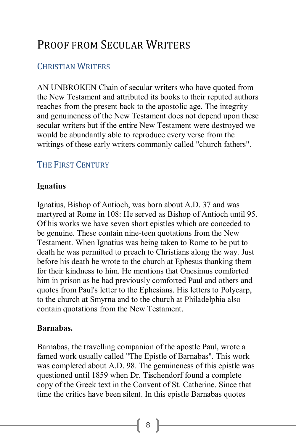# PROOF FROM SECULAR WRITERS

# CHRISTIAN WRITERS

AN UNBROKEN Chain of secular writers who have quoted from the New Testament and attributed its books to their reputed authors reaches from the present back to the apostolic age. The integrity and genuineness of the New Testament does not depend upon these secular writers but if the entire New Testament were destroyed we would be abundantly able to reproduce every verse from the writings of these early writers commonly called "church fathers".

# THE FIRST CENTURY

#### **Ignatius**

Ignatius, Bishop of Antioch, was born about A.D. 37 and was martyred at Rome in 108: He served as Bishop of Antioch until 95. Of his works we have seven short epistles which are conceded to be genuine. These contain nine-teen quotations from the New Testament. When Ignatius was being taken to Rome to be put to death he was permitted to preach to Christians along the way. Just before his death he wrote to the church at Ephesus thanking them for their kindness to him. He mentions that Onesimus comforted him in prison as he had previously comforted Paul and others and quotes from Paul's letter to the Ephesians. His letters to Polycarp, to the church at Smyrna and to the church at Philadelphia also contain quotations from the New Testament.

#### **Barnabas.**

Barnabas, the travelling companion of the apostle Paul, wrote a famed work usually called "The Epistle of Barnabas". This work was completed about A.D. 98. The genuineness of this epistle was questioned until 1859 when Dr. Tischendorf found a complete copy of the Greek text in the Convent of St. Catherine. Since that time the critics have been silent. In this epistle Barnabas quotes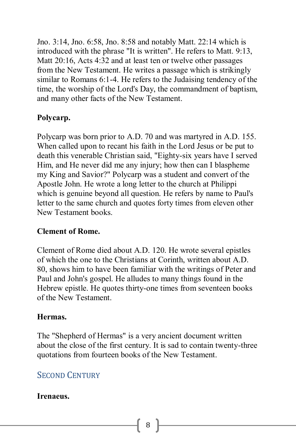Jno. 3:14, Jno. 6:58, Jno. 8:58 and notably Matt. 22:14 which is introduced with the phrase "It is written". He refers to Matt. 9:13, Matt 20:16, Acts 4:32 and at least ten or twelve other passages from the New Testament. He writes a passage which is strikingly similar to Romans 6:1-4. He refers to the Judaising tendency of the time, the worship of the Lord's Day, the commandment of baptism, and many other facts of the New Testament.

#### **Polycarp.**

Polycarp was born prior to A.D. 70 and was martyred in A.D. 155. When called upon to recant his faith in the Lord Jesus or be put to death this venerable Christian said, "Eighty-six years have I served Him, and He never did me any injury; how then can I blaspheme my King and Savior?" Polycarp was a student and convert of the Apostle John. He wrote a long letter to the church at Philippi which is genuine beyond all question. He refers by name to Paul's letter to the same church and quotes forty times from eleven other New Testament books.

#### **Clement of Rome.**

Clement of Rome died about A.D. 120. He wrote several epistles of which the one to the Christians at Corinth, written about A.D. 80, shows him to have been familiar with the writings of Peter and Paul and John's gospel. He alludes to many things found in the Hebrew epistle. He quotes thirty-one times from seventeen books of the New Testament.

## **Hermas.**

The "Shepherd of Hermas" is a very ancient document written about the close of the first century. It is sad to contain twenty-three quotations from fourteen books of the New Testament.

# SECOND CENTURY

## **Irenaeus.**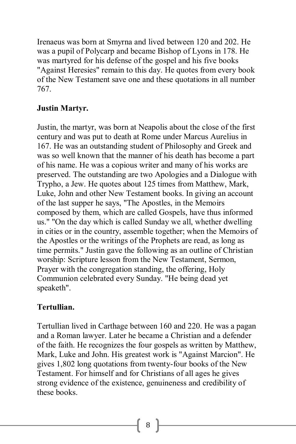Irenaeus was born at Smyrna and lived between 120 and 202. He was a pupil of Polycarp and became Bishop of Lyons in 178. He was martyred for his defense of the gospel and his five books "Against Heresies" remain to this day. He quotes from every book of the New Testament save one and these quotations in all number 767.

## **Justin Martyr.**

Justin, the martyr, was born at Neapolis about the close of the first century and was put to death at Rome under Marcus Aurelius in 167. He was an outstanding student of Philosophy and Greek and was so well known that the manner of his death has become a part of his name. He was a copious writer and many of his works are preserved. The outstanding are two Apologies and a Dialogue with Trypho, a Jew. He quotes about 125 times from Matthew, Mark, Luke, John and other New Testament books. In giving an account of the last supper he says, "The Apostles, in the Memoirs composed by them, which are called Gospels, have thus informed us." "On the day which is called Sunday we all, whether dwelling in cities or in the country, assemble together; when the Memoirs of the Apostles or the writings of the Prophets are read, as long as time permits." Justin gave the following as an outline of Christian worship: Scripture lesson from the New Testament, Sermon, Prayer with the congregation standing, the offering, Holy Communion celebrated every Sunday. "He being dead yet speaketh".

## **Tertullian.**

Tertullian lived in Carthage between 160 and 220. He was a pagan and a Roman lawyer. Later he became a Christian and a defender of the faith. He recognizes the four gospels as written by Matthew, Mark, Luke and John. His greatest work is "Against Marcion". He gives 1,802 long quotations from twenty-four books of the New Testament. For himself and for Christians of all ages he gives strong evidence of the existence, genuineness and credibility of these books.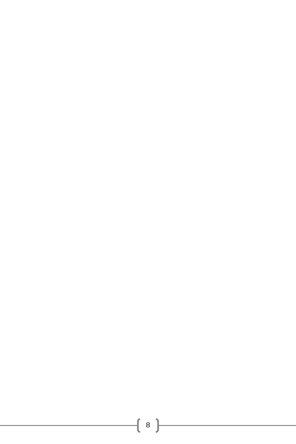$\left(8\right)$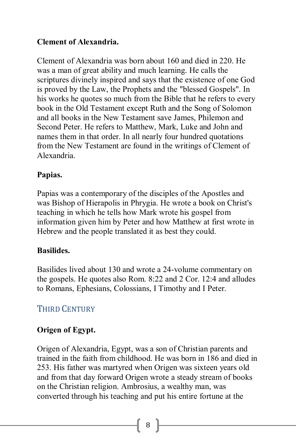## **Clement of Alexandria.**

Clement of Alexandria was born about 160 and died in 220. He was a man of great ability and much learning. He calls the scriptures divinely inspired and says that the existence of one God is proved by the Law, the Prophets and the "blessed Gospels". In his works he quotes so much from the Bible that he refers to every book in the Old Testament except Ruth and the Song of Solomon and all books in the New Testament save James, Philemon and Second Peter. He refers to Matthew, Mark, Luke and John and names them in that order. In all nearly four hundred quotations from the New Testament are found in the writings of Clement of Alexandria.

#### **Papias.**

Papias was a contemporary of the disciples of the Apostles and was Bishop of Hierapolis in Phrygia. He wrote a book on Christ's teaching in which he tells how Mark wrote his gospel from information given him by Peter and how Matthew at first wrote in Hebrew and the people translated it as best they could.

## **Basilides.**

Basilides lived about 130 and wrote a 24-volume commentary on the gospels. He quotes also Rom. 8:22 and 2 Cor. 12:4 and alludes to Romans, Ephesians, Colossians, I Timothy and I Peter.

# THIRD CENTURY

## **Origen of Egypt.**

Origen of Alexandria, Egypt, was a son of Christian parents and trained in the faith from childhood. He was born in 186 and died in 253. His father was martyred when Origen was sixteen years old and from that day forward Origen wrote a steady stream of books on the Christian religion. Ambrosius, a wealthy man, was converted through his teaching and put his entire fortune at the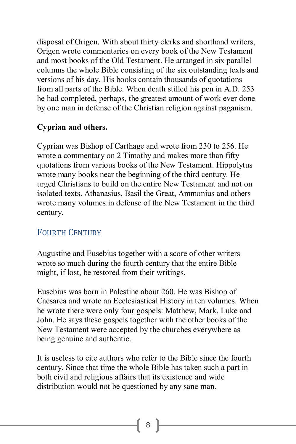disposal of Origen. With about thirty clerks and shorthand writers, Origen wrote commentaries on every book of the New Testament and most books of the Old Testament. He arranged in six parallel columns the whole Bible consisting of the six outstanding texts and versions of his day. His books contain thousands of quotations from all parts of the Bible. When death stilled his pen in A.D. 253 he had completed, perhaps, the greatest amount of work ever done by one man in defense of the Christian religion against paganism.

## **Cyprian and others.**

Cyprian was Bishop of Carthage and wrote from 230 to 256. He wrote a commentary on 2 Timothy and makes more than fifty quotations from various books of the New Testament. Hippolytus wrote many books near the beginning of the third century. He urged Christians to build on the entire New Testament and not on isolated texts. Athanasius, Basil the Great, Ammonius and others wrote many volumes in defense of the New Testament in the third century.

## FOURTH CENTURY

Augustine and Eusebius together with a score of other writers wrote so much during the fourth century that the entire Bible might, if lost, be restored from their writings.

Eusebius was born in Palestine about 260. He was Bishop of Caesarea and wrote an Ecclesiastical History in ten volumes. When he wrote there were only four gospels: Matthew, Mark, Luke and John. He says these gospels together with the other books of the New Testament were accepted by the churches everywhere as being genuine and authentic.

It is useless to cite authors who refer to the Bible since the fourth century. Since that time the whole Bible has taken such a part in both civil and religious affairs that its existence and wide distribution would not be questioned by any sane man.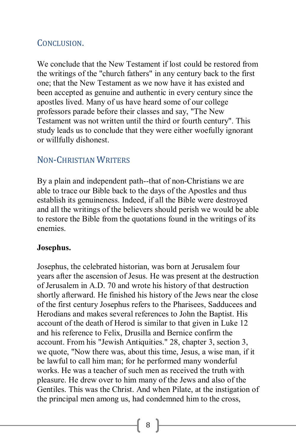# CONCLUSION.

We conclude that the New Testament if lost could be restored from the writings of the "church fathers" in any century back to the first one; that the New Testament as we now have it has existed and been accepted as genuine and authentic in every century since the apostles lived. Many of us have heard some of our college professors parade before their classes and say, "The New Testament was not written until the third or fourth century". This study leads us to conclude that they were either woefully ignorant or willfully dishonest.

## NON-CHRISTIAN WRITERS

By a plain and independent path--that of non-Christians we are able to trace our Bible back to the days of the Apostles and thus establish its genuineness. Indeed, if all the Bible were destroyed and all the writings of the believers should perish we would be able to restore the Bible from the quotations found in the writings of its enemies.

#### **Josephus.**

Josephus, the celebrated historian, was born at Jerusalem four years after the ascension of Jesus. He was present at the destruction of Jerusalem in A.D. 70 and wrote his history of that destruction shortly afterward. He finished his history of the Jews near the close of the first century Josephus refers to the Pharisees, Sadducees and Herodians and makes several references to John the Baptist. His account of the death of Herod is similar to that given in Luke 12 and his reference to Felix, Drusilla and Bernice confirm the account. From his "Jewish Antiquities." 28, chapter 3, section 3, we quote, "Now there was, about this time, Jesus, a wise man, if it be lawful to call him man; for he performed many wonderful works. He was a teacher of such men as received the truth with pleasure. He drew over to him many of the Jews and also of the Gentiles. This was the Christ. And when Pilate, at the instigation of the principal men among us, had condemned him to the cross,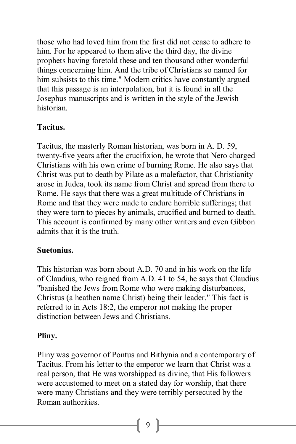those who had loved him from the first did not cease to adhere to him. For he appeared to them alive the third day, the divine prophets having foretold these and ten thousand other wonderful things concerning him. And the tribe of Christians so named for him subsists to this time." Modern critics have constantly argued that this passage is an interpolation, but it is found in all the Josephus manuscripts and is written in the style of the Jewish historian.

## **Tacitus.**

Tacitus, the masterly Roman historian, was born in A. D. 59, twenty-five years after the crucifixion, he wrote that Nero charged Christians with his own crime of burning Rome. He also says that Christ was put to death by Pilate as a malefactor, that Christianity arose in Judea, took its name from Christ and spread from there to Rome. He says that there was a great multitude of Christians in Rome and that they were made to endure horrible sufferings; that they were torn to pieces by animals, crucified and burned to death. This account is confirmed by many other writers and even Gibbon admits that it is the truth.

#### **Suetonius.**

This historian was born about A.D. 70 and in his work on the life of Claudius, who reigned from A.D. 41 to 54, he says that Claudius "banished the Jews from Rome who were making disturbances, Christus (a heathen name Christ) being their leader." This fact is referred to in Acts 18:2, the emperor not making the proper distinction between Jews and Christians.

#### **Pliny.**

Pliny was governor of Pontus and Bithynia and a contemporary of Tacitus. From his letter to the emperor we learn that Christ was a real person, that He was worshipped as divine, that His followers were accustomed to meet on a stated day for worship, that there were many Christians and they were terribly persecuted by the Roman authorities.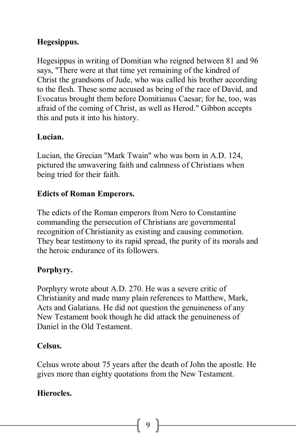## **Hegesippus.**

Hegesippus in writing of Domitian who reigned between 81 and 96 says, "There were at that time yet remaining of the kindred of Christ the grandsons of Jude, who was called his brother according to the flesh. These some accused as being of the race of David, and Evocatus brought them before Domitianus Caesar; for he, too, was afraid of the coming of Christ, as well as Herod." Gibbon accepts this and puts it into his history.

#### **Lucian.**

Lucian, the Grecian "Mark Twain" who was born in A.D. 124, pictured the unwavering faith and calmness of Christians when being tried for their faith.

#### **Edicts of Roman Emperors.**

The edicts of the Roman emperors from Nero to Constantine commanding the persecution of Christians are governmental recognition of Christianity as existing and causing commotion. They bear testimony to its rapid spread, the purity of its morals and the heroic endurance of its followers.

## **Porphyry.**

Porphyry wrote about A.D. 270. He was a severe critic of Christianity and made many plain references to Matthew, Mark, Acts and Galatians. He did not question the genuineness of any New Testament book though he did attack the genuineness of Daniel in the Old Testament.

#### **Celsus.**

Celsus wrote about 75 years after the death of John the apostle. He gives more than eighty quotations from the New Testament.

## **Hierocles.**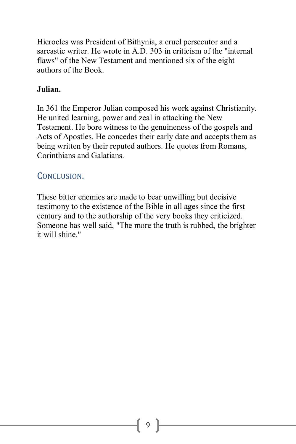Hierocles was President of Bithynia, a cruel persecutor and a sarcastic writer. He wrote in A.D. 303 in criticism of the "internal flaws" of the New Testament and mentioned six of the eight authors of the Book.

#### **Julian.**

In 361 the Emperor Julian composed his work against Christianity. He united learning, power and zeal in attacking the New Testament. He bore witness to the genuineness of the gospels and Acts of Apostles. He concedes their early date and accepts them as being written by their reputed authors. He quotes from Romans, Corinthians and Galatians.

# CONCLUSION.

These bitter enemies are made to bear unwilling but decisive testimony to the existence of the Bible in all ages since the first century and to the authorship of the very books they criticized. Someone has well said, "The more the truth is rubbed, the brighter it will shine."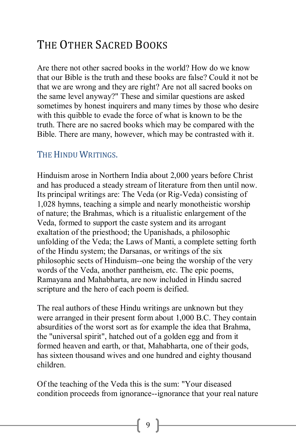# THE OTHER SACRED BOOKS

Are there not other sacred books in the world? How do we know that our Bible is the truth and these books are false? Could it not be that we are wrong and they are right? Are not all sacred books on the same level anyway?" These and similar questions are asked sometimes by honest inquirers and many times by those who desire with this quibble to evade the force of what is known to be the truth. There are no sacred books which may be compared with the Bible. There are many, however, which may be contrasted with it.

## THE HINDU WRITINGS.

Hinduism arose in Northern India about 2,000 years before Christ and has produced a steady stream of literature from then until now. Its principal writings are: The Veda (or Rig-Veda) consisting of 1,028 hymns, teaching a simple and nearly monotheistic worship of nature; the Brahmas, which is a ritualistic enlargement of the Veda, formed to support the caste system and its arrogant exaltation of the priesthood; the Upanishads, a philosophic unfolding of the Veda; the Laws of Manti, a complete setting forth of the Hindu system; the Darsanas, or writings of the six philosophic sects of Hinduism--one being the worship of the very words of the Veda, another pantheism, etc. The epic poems, Ramayana and Mahabharta, are now included in Hindu sacred scripture and the hero of each poem is deified.

The real authors of these Hindu writings are unknown but they were arranged in their present form about 1,000 B.C. They contain absurdities of the worst sort as for example the idea that Brahma, the "universal spirit", hatched out of a golden egg and from it formed heaven and earth, or that, Mahabharta, one of their gods, has sixteen thousand wives and one hundred and eighty thousand children.

Of the teaching of the Veda this is the sum: "Your diseased condition proceeds from ignorance--ignorance that your real nature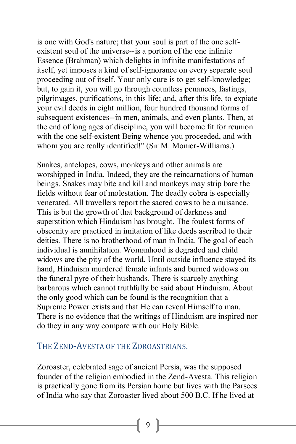is one with God's nature; that your soul is part of the one selfexistent soul of the universe--is a portion of the one infinite Essence (Brahman) which delights in infinite manifestations of itself, yet imposes a kind of self-ignorance on every separate soul proceeding out of itself. Your only cure is to get self-knowledge; but, to gain it, you will go through countless penances, fastings, pilgrimages, purifications, in this life; and, after this life, to expiate your evil deeds in eight million, four hundred thousand forms of subsequent existences--in men, animals, and even plants. Then, at the end of long ages of discipline, you will become fit for reunion with the one self-existent Being whence you proceeded, and with whom you are really identified!" (Sir M. Monier-Williams.)

Snakes, antelopes, cows, monkeys and other animals are worshipped in India. Indeed, they are the reincarnations of human beings. Snakes may bite and kill and monkeys may strip bare the fields without fear of molestation. The deadly cobra is especially venerated. All travellers report the sacred cows to be a nuisance. This is but the growth of that background of darkness and superstition which Hinduism has brought. The foulest forms of obscenity are practiced in imitation of like deeds ascribed to their deities. There is no brotherhood of man in India. The goal of each individual is annihilation. Womanhood is degraded and child widows are the pity of the world. Until outside influence stayed its hand, Hinduism murdered female infants and burned widows on the funeral pyre of their husbands. There is scarcely anything barbarous which cannot truthfully be said about Hinduism. About the only good which can be found is the recognition that a Supreme Power exists and that He can reveal Himself to man. There is no evidence that the writings of Hinduism are inspired nor do they in any way compare with our Holy Bible.

#### THE ZEND-AVESTA OF THE ZOROASTRIANS.

Zoroaster, celebrated sage of ancient Persia, was the supposed founder of the religion embodied in the Zend-Avesta. This religion is practically gone from its Persian home but lives with the Parsees of India who say that Zoroaster lived about 500 B.C. If he lived at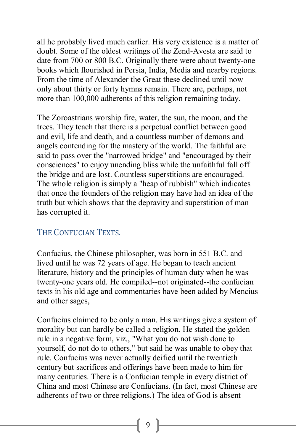all he probably lived much earlier. His very existence is a matter of doubt. Some of the oldest writings of the Zend-Avesta are said to date from 700 or 800 B.C. Originally there were about twenty-one books which flourished in Persia, India, Media and nearby regions. From the time of Alexander the Great these declined until now only about thirty or forty hymns remain. There are, perhaps, not more than 100,000 adherents of this religion remaining today.

The Zoroastrians worship fire, water, the sun, the moon, and the trees. They teach that there is a perpetual conflict between good and evil, life and death, and a countless number of demons and angels contending for the mastery of the world. The faithful are said to pass over the "narrowed bridge" and "encouraged by their consciences" to enjoy unending bliss while the unfaithful fall off the bridge and are lost. Countless superstitions are encouraged. The whole religion is simply a "heap of rubbish" which indicates that once the founders of the religion may have had an idea of the truth but which shows that the depravity and superstition of man has corrupted it.

## THE CONFUCIAN TEXTS.

Confucius, the Chinese philosopher, was born in 551 B.C. and lived until he was 72 years of age. He began to teach ancient literature, history and the principles of human duty when he was twenty-one years old. He compiled--not originated--the confucian texts in his old age and commentaries have been added by Mencius and other sages,

Confucius claimed to be only a man. His writings give a system of morality but can hardly be called a religion. He stated the golden rule in a negative form, viz., "What you do not wish done to yourself, do not do to others," but said he was unable to obey that rule. Confucius was never actually deified until the twentieth century but sacrifices and offerings have been made to him for many centuries. There is a Confucian temple in every district of China and most Chinese are Confucians. (In fact, most Chinese are adherents of two or three religions.) The idea of God is absent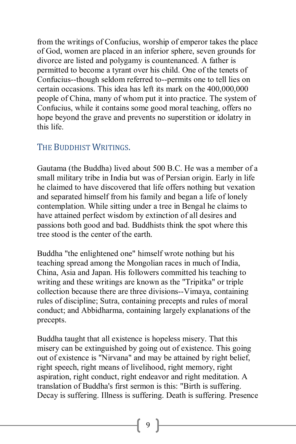from the writings of Confucius, worship of emperor takes the place of God, women are placed in an inferior sphere, seven grounds for divorce are listed and polygamy is countenanced. A father is permitted to become a tyrant over his child. One of the tenets of Confucius--though seldom referred to--permits one to tell lies on certain occasions. This idea has left its mark on the 400,000,000 people of China, many of whom put it into practice. The system of Confucius, while it contains some good moral teaching, offers no hope beyond the grave and prevents no superstition or idolatry in this life.

# THE BUDDHIST WRITINGS.

Gautama (the Buddha) lived about 500 B.C. He was a member of a small military tribe in India but was of Persian origin. Early in life he claimed to have discovered that life offers nothing but vexation and separated himself from his family and began a life of lonely contemplation. While sitting under a tree in Bengal he claims to have attained perfect wisdom by extinction of all desires and passions both good and bad. Buddhists think the spot where this tree stood is the center of the earth.

Buddha "the enlightened one" himself wrote nothing but his teaching spread among the Mongolian races in much of India, China, Asia and Japan. His followers committed his teaching to writing and these writings are known as the "Tripitka" or triple collection because there are three divisions--Vimaya, containing rules of discipline; Sutra, containing precepts and rules of moral conduct; and Abbidharma, containing largely explanations of the precepts.

Buddha taught that all existence is hopeless misery. That this misery can be extinguished by going out of existence. This going out of existence is "Nirvana" and may be attained by right belief, right speech, right means of livelihood, right memory, right aspiration, right conduct, right endeavor and right meditation. A translation of Buddha's first sermon is this: "Birth is suffering. Decay is suffering. Illness is suffering. Death is suffering. Presence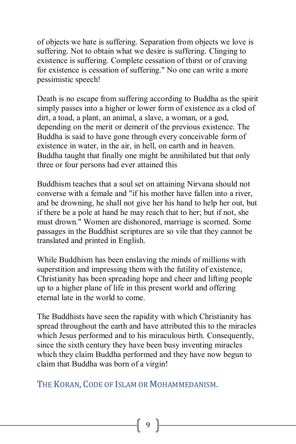of objects we hate is suffering. Separation from objects we love is suffering. Not to obtain what we desire is suffering. Clinging to existence is suffering. Complete cessation of thirst or of craving for existence is cessation of suffering." No one can write a more pessimistic speech!

Death is no escape from suffering according to Buddha as the spirit simply passes into a higher or lower form of existence as a clod of dirt, a toad, a plant, an animal, a slave, a woman, or a god, depending on the merit or demerit of the previous existence. The Buddha is said to have gone through every conceivable form of existence in water, in the air, in hell, on earth and in heaven. Buddha taught that finally one might be annihilated but that only three or four persons had ever attained this

Buddhism teaches that a soul set on attaining Nirvana should not converse with a female and "if his mother have fallen into a river, and be drowning, he shall not give her his hand to help her out, but if there be a pole at hand he may reach that to her; but if not, she must drown." Women are dishonored, marriage is scorned. Some passages in the Buddhist scriptures are so vile that they cannot be translated and printed in English.

While Buddhism has been enslaving the minds of millions with superstition and impressing them with the futility of existence, Christianity has been spreading hope and cheer and lifting people up to a higher plane of life in this present world and offering eternal late in the world to come.

The Buddhists have seen the rapidity with which Christianity has spread throughout the earth and have attributed this to the miracles which Jesus performed and to his miraculous birth. Consequently, since the sixth century they have been busy inventing miracles which they claim Buddha performed and they have now begun to claim that Buddha was born of a virgin!

THE KORAN, CODE OF ISLAM OR MOHAMMEDANISM.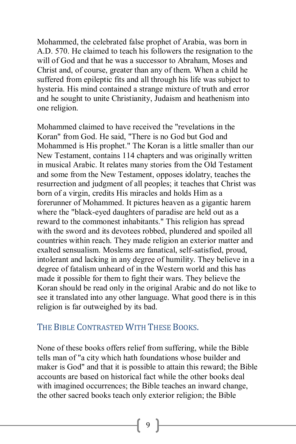Mohammed, the celebrated false prophet of Arabia, was born in A.D. 570. He claimed to teach his followers the resignation to the will of God and that he was a successor to Abraham, Moses and Christ and, of course, greater than any of them. When a child he suffered from epileptic fits and all through his life was subject to hysteria. His mind contained a strange mixture of truth and error and he sought to unite Christianity, Judaism and heathenism into one religion.

Mohammed claimed to have received the "revelations in the Koran" from God. He said, "There is no God but God and Mohammed is His prophet." The Koran is a little smaller than our New Testament, contains 114 chapters and was originally written in musical Arabic. It relates many stories from the Old Testament and some from the New Testament, opposes idolatry, teaches the resurrection and judgment of all peoples; it teaches that Christ was born of a virgin, credits His miracles and holds Him as a forerunner of Mohammed. It pictures heaven as a gigantic harem where the "black-eyed daughters of paradise are held out as a reward to the commonest inhabitants." This religion has spread with the sword and its devotees robbed, plundered and spoiled all countries within reach. They made religion an exterior matter and exalted sensualism. Moslems are fanatical, self-satisfied, proud, intolerant and lacking in any degree of humility. They believe in a degree of fatalism unheard of in the Western world and this has made it possible for them to fight their wars. They believe the Koran should be read only in the original Arabic and do not like to see it translated into any other language. What good there is in this religion is far outweighed by its bad.

## THE RIBLE CONTRASTED WITH THESE BOOKS.

None of these books offers relief from suffering, while the Bible tells man of "a city which hath foundations whose builder and maker is God" and that it is possible to attain this reward; the Bible accounts are based on historical fact while the other books deal with imagined occurrences; the Bible teaches an inward change, the other sacred books teach only exterior religion; the Bible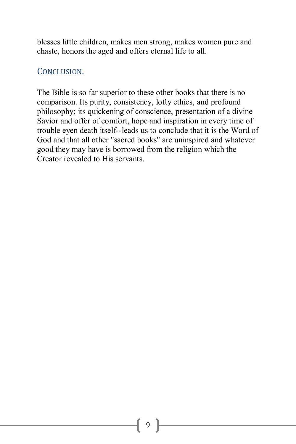blesses little children, makes men strong, makes women pure and chaste, honors the aged and offers eternal life to all.

## CONCLUSION.

The Bible is so far superior to these other books that there is no comparison. Its purity, consistency, lofty ethics, and profound philosophy; its quickening of conscience, presentation of a divine Savior and offer of comfort, hope and inspiration in every time of trouble eyen death itself--leads us to conclude that it is the Word of God and that all other "sacred books" are uninspired and whatever good they may have is borrowed from the religion which the Creator revealed to His servants.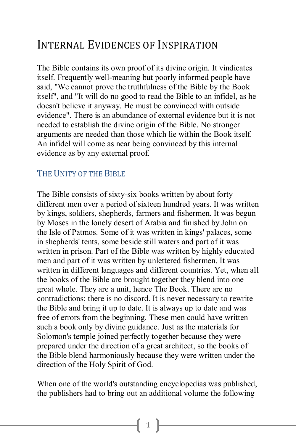# INTERNAL EVIDENCES OF INSPIRATION

The Bible contains its own proof of its divine origin. It vindicates itself. Frequently well-meaning but poorly informed people have said, "We cannot prove the truthfulness of the Bible by the Book itself", and "It will do no good to read the Bible to an infidel, as he doesn't believe it anyway. He must be convinced with outside evidence". There is an abundance of external evidence but it is not needed to establish the divine origin of the Bible. No stronger arguments are needed than those which lie within the Book itself. An infidel will come as near being convinced by this internal evidence as by any external proof.

## THE UNITY OF THE BIBLE

The Bible consists of sixty-six books written by about forty different men over a period of sixteen hundred years. It was written by kings, soldiers, shepherds, farmers and fishermen. It was begun by Moses in the lonely desert of Arabia and finished by John on the Isle of Patmos. Some of it was written in kings' palaces, some in shepherds' tents, some beside still waters and part of it was written in prison. Part of the Bible was written by highly educated men and part of it was written by unlettered fishermen. It was written in different languages and different countries. Yet, when all the books of the Bible are brought together they blend into one great whole. They are a unit, hence The Book. There are no contradictions; there is no discord. It is never necessary to rewrite the Bible and bring it up to date. It is always up to date and was free of errors from the beginning. These men could have written such a book only by divine guidance. Just as the materials for Solomon's temple joined perfectly together because they were prepared under the direction of a great architect, so the books of the Bible blend harmoniously because they were written under the direction of the Holy Spirit of God.

When one of the world's outstanding encyclopedias was published, the publishers had to bring out an additional volume the following

1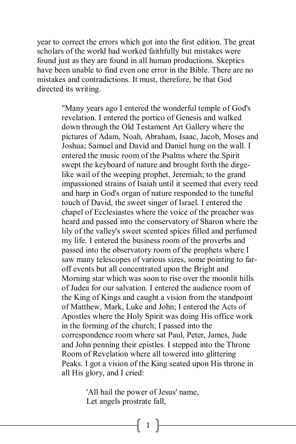year to correct the errors which got into the first edition. The great scholars of the world had worked faithfully but mistakes were found just as they are found in all human productions. Skeptics have been unable to find even one error in the Bible. There are no mistakes and contradictions. It must, therefore, be that God directed its writing.

> "Many years ago I entered the wonderful temple of God's revelation. I entered the portico of Genesis and walked down through the Old Testament Art Gallery where the pictures of Adam, Noah, Abraham, Isaac, Jacob, Moses and Joshua; Samuel and David and Daniel hung on the wall. I entered the music room of the Psalms where the Spirit swept the keyboard of nature and brought forth the dirgelike wail of the weeping prophet, Jeremiah; to the grand impassioned strains of Isaiah until it seemed that every reed and harp in God's organ of nature responded to the tuneful touch of David, the sweet singer of Israel. I entered the chapel of Ecclesiastes where the voice of the preacher was heard and passed into the conservatory of Sharon where the lily of the valley's sweet scented spices filled and perfumed my life. I entered the business room of the proverbs and passed into the observatory room of the prophets where I saw many telescopes of various sizes, some pointing to faroff events but all concentrated upon the Bright and Morning star which was soon to rise over the moonlit hills of Judea for our salvation. I entered the audience room of the King of Kings and caught a vision from the standpoint of Matthew, Mark, Luke and John; I entered the Acts of Apostles where the Holy Spirit was doing His office work in the forming of the church; I passed into the correspondence room where sat Paul, Peter, James, Jude and John penning their epistles. I stepped into the Throne Room of Revelation where all towered into glittering Peaks. I got a vision of the King seated upon His throne in all His glory, and I cried:

> > 'All hail the power of Jesus' name, Let angels prostrate fall,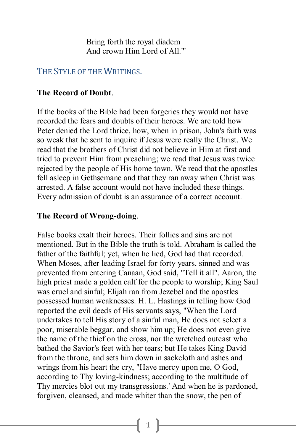Bring forth the royal diadem And crown Him Lord of All.'"

## THE STYLE OF THE WRITINGS.

#### **The Record of Doubt**.

If the books of the Bible had been forgeries they would not have recorded the fears and doubts of their heroes. We are told how Peter denied the Lord thrice, how, when in prison, John's faith was so weak that he sent to inquire if Jesus were really the Christ. We read that the brothers of Christ did not believe in Him at first and tried to prevent Him from preaching; we read that Jesus was twice rejected by the people of His home town. We read that the apostles fell asleep in Gethsemane and that they ran away when Christ was arrested. A false account would not have included these things. Every admission of doubt is an assurance of a correct account.

#### **The Record of Wrong-doing**.

False books exalt their heroes. Their follies and sins are not mentioned. But in the Bible the truth is told. Abraham is called the father of the faithful; yet, when he lied, God had that recorded. When Moses, after leading Israel for forty years, sinned and was prevented from entering Canaan, God said, "Tell it all". Aaron, the high priest made a golden calf for the people to worship; King Saul was cruel and sinful; Elijah ran from Jezebel and the apostles possessed human weaknesses. H. L. Hastings in telling how God reported the evil deeds of His servants says, "When the Lord undertakes to tell His story of a sinful man, He does not select a poor, miserable beggar, and show him up; He does not even give the name of the thief on the cross, nor the wretched outcast who bathed the Savior's feet with her tears; but He takes King David from the throne, and sets him down in sackcloth and ashes and wrings from his heart the cry, "Have mercy upon me, O God, according to Thy loving-kindness; according to the multitude of Thy mercies blot out my transgressions.' And when he is pardoned, forgiven, cleansed, and made whiter than the snow, the pen of

1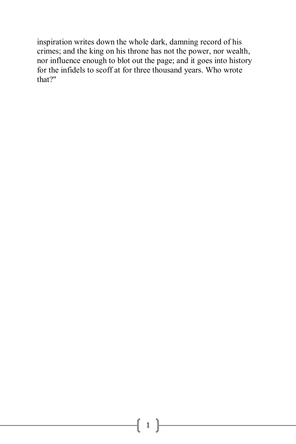inspiration writes down the whole dark, damning record of his crimes; and the king on his throne has not the power, nor wealth, nor influence enough to blot out the page; and it goes into history for the infidels to scoff at for three thousand years. Who wrote that?"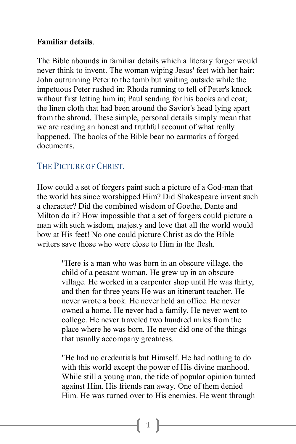#### **Familiar details**.

The Bible abounds in familiar details which a literary forger would never think to invent. The woman wiping Jesus' feet with her hair; John outrunning Peter to the tomb but waiting outside while the impetuous Peter rushed in; Rhoda running to tell of Peter's knock without first letting him in; Paul sending for his books and coat; the linen cloth that had been around the Savior's head lying apart from the shroud. These simple, personal details simply mean that we are reading an honest and truthful account of what really happened. The books of the Bible bear no earmarks of forged documents.

# THE PICTURE OF CHRIST.

How could a set of forgers paint such a picture of a God-man that the world has since worshipped Him? Did Shakespeare invent such a character? Did the combined wisdom of Goethe, Dante and Milton do it? How impossible that a set of forgers could picture a man with such wisdom, majesty and love that all the world would bow at His feet! No one could picture Christ as do the Bible writers save those who were close to Him in the flesh.

> "Here is a man who was born in an obscure village, the child of a peasant woman. He grew up in an obscure village. He worked in a carpenter shop until He was thirty, and then for three years He was an itinerant teacher. He never wrote a book. He never held an office. He never owned a home. He never had a family. He never went to college. He never traveled two hundred miles from the place where he was born. He never did one of the things that usually accompany greatness.

"He had no credentials but Himself. He had nothing to do with this world except the power of His divine manhood. While still a young man, the tide of popular opinion turned against Him. His friends ran away. One of them denied Him. He was turned over to His enemies. He went through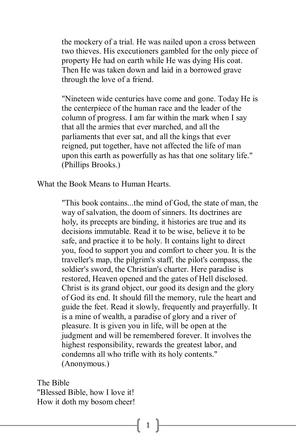the mockery of a trial. He was nailed upon a cross between two thieves. His executioners gambled for the only piece of property He had on earth while He was dying His coat. Then He was taken down and laid in a borrowed grave through the love of a friend.

"Nineteen wide centuries have come and gone. Today He is the centerpiece of the human race and the leader of the column of progress. I am far within the mark when I say that all the armies that ever marched, and all the parliaments that ever sat, and all the kings that ever reigned, put together, have not affected the life of man upon this earth as powerfully as has that one solitary life." (Phillips Brooks.)

What the Book Means to Human Hearts.

"This book contains...the mind of God, the state of man, the way of salvation, the doom of sinners. Its doctrines are holy, its precepts are binding, it histories are true and its decisions immutable. Read it to be wise, believe it to be safe, and practice it to be holy. It contains light to direct you, food to support you and comfort to cheer you. It is the traveller's map, the pilgrim's staff, the pilot's compass, the soldier's sword, the Christian's charter. Here paradise is restored, Heaven opened and the gates of Hell disclosed. Christ is its grand object, our good its design and the glory of God its end. It should fill the memory, rule the heart and guide the feet. Read it slowly, frequently and prayerfully. It is a mine of wealth, a paradise of glory and a river of pleasure. It is given you in life, will be open at the judgment and will be remembered forever. It involves the highest responsibility, rewards the greatest labor, and condemns all who trifle with its holy contents." (Anonymous.)

The Bible "Blessed Bible, how I love it! How it doth my bosom cheer!

1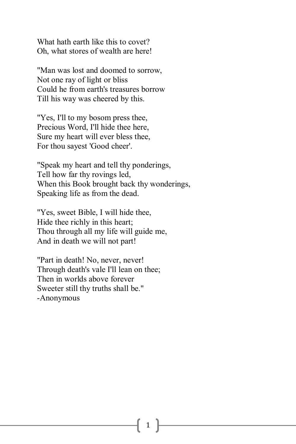What hath earth like this to covet? Oh, what stores of wealth are here!

"Man was lost and doomed to sorrow, Not one ray of light or bliss Could he from earth's treasures borrow Till his way was cheered by this.

"Yes, I'll to my bosom press thee, Precious Word, I'll hide thee here, Sure my heart will ever bless thee, For thou sayest 'Good cheer'.

"Speak my heart and tell thy ponderings, Tell how far thy rovings led, When this Book brought back thy wonderings, Speaking life as from the dead.

"Yes, sweet Bible, I will hide thee, Hide thee richly in this heart; Thou through all my life will guide me, And in death we will not part!

"Part in death! No, never, never! Through death's vale I'll lean on thee; Then in worlds above forever Sweeter still thy truths shall be." -Anonymous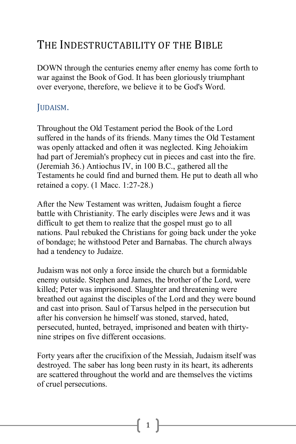# THE INDESTRUCTABILITY OF THE BIBLE

DOWN through the centuries enemy after enemy has come forth to war against the Book of God. It has been gloriously triumphant over everyone, therefore, we believe it to be God's Word.

## JUDAISM.

Throughout the Old Testament period the Book of the Lord suffered in the hands of its friends. Many times the Old Testament was openly attacked and often it was neglected. King Jehoiakim had part of Jeremiah's prophecy cut in pieces and cast into the fire. (Jeremiah 36.) Antiochus IV, in 100 B.C., gathered all the Testaments he could find and burned them. He put to death all who retained a copy. (1 Macc. 1:27-28.)

After the New Testament was written, Judaism fought a fierce battle with Christianity. The early disciples were Jews and it was difficult to get them to realize that the gospel must go to all nations. Paul rebuked the Christians for going back under the yoke of bondage; he withstood Peter and Barnabas. The church always had a tendency to Judaize.

Judaism was not only a force inside the church but a formidable enemy outside. Stephen and James, the brother of the Lord, were killed; Peter was imprisoned. Slaughter and threatening were breathed out against the disciples of the Lord and they were bound and cast into prison. Saul of Tarsus helped in the persecution but after his conversion he himself was stoned, starved, hated, persecuted, hunted, betrayed, imprisoned and beaten with thirtynine stripes on five different occasions.

Forty years after the crucifixion of the Messiah, Judaism itself was destroyed. The saber has long been rusty in its heart, its adherents are scattered throughout the world and are themselves the victims of cruel persecutions.

1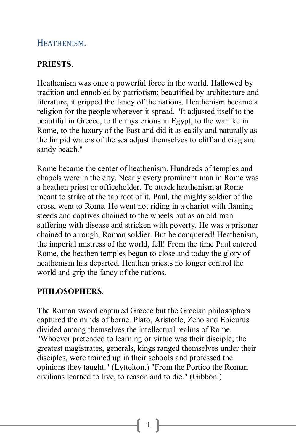#### HEATHENISM.

#### **PRIESTS**.

Heathenism was once a powerful force in the world. Hallowed by tradition and ennobled by patriotism; beautified by architecture and literature, it gripped the fancy of the nations. Heathenism became a religion for the people wherever it spread. "It adjusted itself to the beautiful in Greece, to the mysterious in Egypt, to the warlike in Rome, to the luxury of the East and did it as easily and naturally as the limpid waters of the sea adjust themselves to cliff and crag and sandy beach."

Rome became the center of heathenism. Hundreds of temples and chapels were in the city. Nearly every prominent man in Rome was a heathen priest or officeholder. To attack heathenism at Rome meant to strike at the tap root of it. Paul, the mighty soldier of the cross, went to Rome. He went not riding in a chariot with flaming steeds and captives chained to the wheels but as an old man suffering with disease and stricken with poverty. He was a prisoner chained to a rough, Roman soldier. But he conquered! Heathenism, the imperial mistress of the world, fell! From the time Paul entered Rome, the heathen temples began to close and today the glory of heathenism has departed. Heathen priests no longer control the world and grip the fancy of the nations.

#### **PHILOSOPHERS**.

The Roman sword captured Greece but the Grecian philosophers captured the minds of borne. Plato, Aristotle, Zeno and Epicurus divided among themselves the intellectual realms of Rome. "Whoever pretended to learning or virtue was their disciple; the greatest magistrates, generals, kings ranged themselves under their disciples, were trained up in their schools and professed the opinions they taught." (Lyttelton.) "From the Portico the Roman civilians learned to live, to reason and to die." (Gibbon.)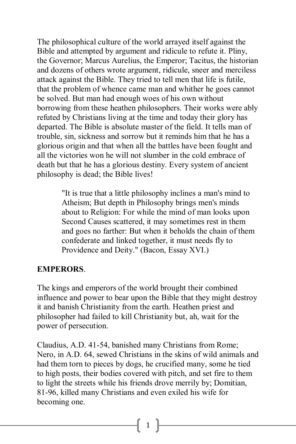The philosophical culture of the world arrayed itself against the Bible and attempted by argument and ridicule to refute it. Pliny, the Governor; Marcus Aurelius, the Emperor; Tacitus, the historian and dozens of others wrote argument, ridicule, sneer and merciless attack against the Bible. They tried to tell men that life is futile, that the problem of whence came man and whither he goes cannot be solved. But man had enough woes of his own without borrowing from these heathen philosophers. Their works were ably refuted by Christians living at the time and today their glory has departed. The Bible is absolute master of the field. It tells man of trouble, sin, sickness and sorrow but it reminds him that he has a glorious origin and that when all the battles have been fought and all the victories won he will not slumber in the cold embrace of death but that he has a glorious destiny. Every system of ancient philosophy is dead; the Bible lives!

> "It is true that a little philosophy inclines a man's mind to Atheism; But depth in Philosophy brings men's minds about to Religion: For while the mind of man looks upon Second Causes scattered, it may sometimes rest in them and goes no farther: But when it beholds the chain of them confederate and linked together, it must needs fly to Providence and Deity." (Bacon, Essay XVI.)

#### **EMPERORS**.

The kings and emperors of the world brought their combined influence and power to bear upon the Bible that they might destroy it and banish Christianity from the earth. Heathen priest and philosopher had failed to kill Christianity but, ah, wait for the power of persecution.

Claudius, A.D. 41-54, banished many Christians from Rome; Nero, in A.D. 64, sewed Christians in the skins of wild animals and had them torn to pieces by dogs, he crucified many, some he tied to high posts, their bodies covered with pitch, and set fire to them to light the streets while his friends drove merrily by; Domitian, 81-96, killed many Christians and even exiled his wife for becoming one.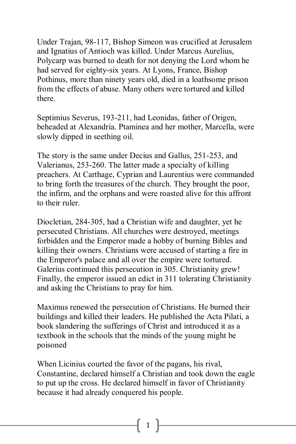Under Trajan, 98-117, Bishop Simeon was crucified at Jerusalem and Ignatius of Antioch was killed. Under Marcus Aurelius, Polycarp was burned to death for not denying the Lord whom he had served for eighty-six years. At Lyons, France, Bishop Pothinus, more than ninety years old, died in a loathsome prison from the effects of abuse. Many others were tortured and killed there.

Septimius Severus, 193-211, had Leonidas, father of Origen, beheaded at Alexandria. Ptaminea and her mother, Marcella, were slowly dipped in seething oil.

The story is the same under Decius and Gallus, 251-253, and Valerianus, 253-260. The latter made a specialty of killing preachers. At Carthage, Cyprian and Laurentius were commanded to bring forth the treasures of the church. They brought the poor, the infirm, and the orphans and were roasted alive for this affront to their ruler.

Diocletian, 284-305, had a Christian wife and daughter, yet he persecuted Christians. All churches were destroyed, meetings forbidden and the Emperor made a hobby of burning Bibles and killing their owners. Christians were accused of starting a fire in the Emperor's palace and all over the empire were tortured. Galerius continued this persecution in 305. Christianity grew! Finally, the emperor issued an edict in 311 tolerating Christianity and asking the Christians to pray for him.

Maximus renewed the persecution of Christians. He burned their buildings and killed their leaders. He published the Acta Pilati, a book slandering the sufferings of Christ and introduced it as a textbook in the schools that the minds of the young might be poisoned

When Licinius courted the favor of the pagans, his rival, Constantine, declared himself a Christian and took down the eagle to put up the cross. He declared himself in favor of Christianity because it had already conquered his people.

1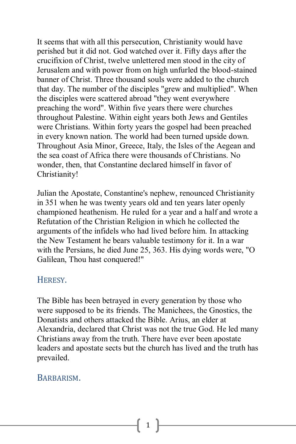It seems that with all this persecution, Christianity would have perished but it did not. God watched over it. Fifty days after the crucifixion of Christ, twelve unlettered men stood in the city of Jerusalem and with power from on high unfurled the blood-stained banner of Christ. Three thousand souls were added to the church that day. The number of the disciples "grew and multiplied". When the disciples were scattered abroad "they went everywhere preaching the word". Within five years there were churches throughout Palestine. Within eight years both Jews and Gentiles were Christians. Within forty years the gospel had been preached in every known nation. The world had been turned upside down. Throughout Asia Minor, Greece, Italy, the Isles of the Aegean and the sea coast of Africa there were thousands of Christians. No wonder, then, that Constantine declared himself in favor of Christianity!

Julian the Apostate, Constantine's nephew, renounced Christianity in 351 when he was twenty years old and ten years later openly championed heathenism. He ruled for a year and a half and wrote a Refutation of the Christian Religion in which he collected the arguments of the infidels who had lived before him. In attacking the New Testament he bears valuable testimony for it. In a war with the Persians, he died June 25, 363. His dying words were, "O Galilean, Thou hast conquered!"

### **HERESY**

The Bible has been betrayed in every generation by those who were supposed to be its friends. The Manichees, the Gnostics, the Donatists and others attacked the Bible. Arius, an elder at Alexandria, declared that Christ was not the true God. He led many Christians away from the truth. There have ever been apostate leaders and apostate sects but the church has lived and the truth has prevailed.

### BARBARISM.

1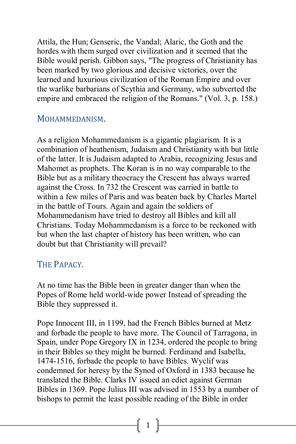Attila, the Hun; Genseric, the Vandal; Alaric, the Goth and the hordes with them surged over civilization and it seemed that the Bible would perish. Gibbon says, "The progress of Christianity has been marked by two glorious and decisive victories, over the learned and luxurious civilization of the Roman Empire and over the warlike barbarians of Scythia and Germany, who subverted the empire and embraced the religion of the Romans." (Vol. 3, p. 158.)

### MOHAMMEDANISM.

As a religion Mohammedanism is a gigantic plagiarism. It is a combination of heathenism, Judaism and Christianity with but little of the latter. It is Judaism adapted to Arabia, recognizing Jesus and Mahomet as prophets. The Koran is in no way comparable to the Bible but as a military theocracy the Crescent has always warred against the Cross. In 732 the Crescent was carried in battle to within a few miles of Paris and was beaten back by Charles Martel in the battle of Tours. Again and again the soldiers of Mohammedanism have tried to destroy all Bibles and kill all Christians. Today Mohammedanism is a force to be reckoned with but when the last chapter of history has been written, who can doubt but that Christianity will prevail?

### THE PAPACY.

At no time has the Bible been in greater danger than when the Popes of Rome held world-wide power Instead of spreading the Bible they suppressed it.

Pope Innocent III, in 1199, had the French Bibles burned at Metz and forbade the people to have more. The Council of Tarragona, in Spain, under Pope Gregory IX in 1234, ordered the people to bring in their Bibles so they might be burned. Ferdinand and Isabella, 1474-1516, forbade the people to have Bibles. Wyclif was condemned for heresy by the Synod of Oxford in 1383 because he translated the Bible. Clarks IV issued an edict against German Bibles in 1369. Pope Julius III was advised in 1553 by a number of bishops to permit the least possible reading of the Bible in order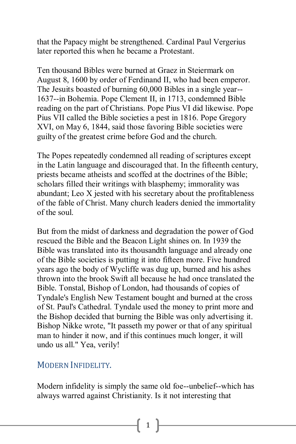that the Papacy might be strengthened. Cardinal Paul Vergerius later reported this when he became a Protestant.

Ten thousand Bibles were burned at Graez in Steiermark on August 8, 1600 by order of Ferdinand II, who had been emperor. The Jesuits boasted of burning 60,000 Bibles in a single year-- 1637--in Bohemia. Pope Clement II, in 1713, condemned Bible reading on the part of Christians. Pope Pius VI did likewise. Pope Pius VII called the Bible societies a pest in 1816. Pope Gregory XVI, on May 6, 1844, said those favoring Bible societies were guilty of the greatest crime before God and the church.

The Popes repeatedly condemned all reading of scriptures except in the Latin language and discouraged that. In the fifteenth century, priests became atheists and scoffed at the doctrines of the Bible; scholars filled their writings with blasphemy; immorality was abundant; Leo X jested with his secretary about the profitableness of the fable of Christ. Many church leaders denied the immortality of the soul.

But from the midst of darkness and degradation the power of God rescued the Bible and the Beacon Light shines on. In 1939 the Bible was translated into its thousandth language and already one of the Bible societies is putting it into fifteen more. Five hundred years ago the body of Wycliffe was dug up, burned and his ashes thrown into the brook Swift all because he had once translated the Bible. Tonstal, Bishop of London, had thousands of copies of Tyndale's English New Testament bought and burned at the cross of St. Paul's Cathedral. Tyndale used the money to print more and the Bishop decided that burning the Bible was only advertising it. Bishop Nikke wrote, "It passeth my power or that of any spiritual man to hinder it now, and if this continues much longer, it will undo us all." Yea, verily!

# MODERN INFIDELITY.

Modern infidelity is simply the same old foe--unbelief--which has always warred against Christianity. Is it not interesting that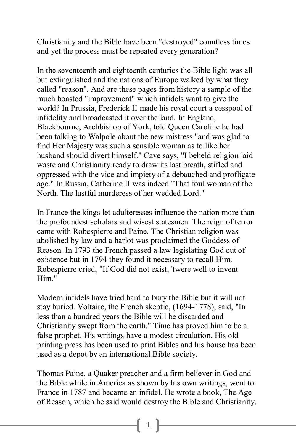Christianity and the Bible have been "destroyed" countless times and yet the process must be repeated every generation?

In the seventeenth and eighteenth centuries the Bible light was all but extinguished and the nations of Europe walked by what they called "reason". And are these pages from history a sample of the much boasted "improvement" which infidels want to give the world? In Prussia, Frederick II made his royal court a cesspool of infidelity and broadcasted it over the land. In England, Blackbourne, Archbishop of York, told Queen Caroline he had been talking to Walpole about the new mistress "and was glad to find Her Majesty was such a sensible woman as to like her husband should divert himself." Cave says, "I beheld religion laid waste and Christianity ready to draw its last breath, stifled and oppressed with the vice and impiety of a debauched and profligate age." In Russia, Catherine II was indeed "That foul woman of the North. The lustful murderess of her wedded Lord."

In France the kings let adulteresses influence the nation more than the profoundest scholars and wisest statesmen. The reign of terror came with Robespierre and Paine. The Christian religion was abolished by law and a harlot was proclaimed the Goddess of Reason. In 1793 the French passed a law legislating God out of existence but in 1794 they found it necessary to recall Him. Robespierre cried, "If God did not exist, 'twere well to invent Him."

Modern infidels have tried hard to bury the Bible but it will not stay buried. Voltaire, the French skeptic, (1694-1778), said, "In less than a hundred years the Bible will be discarded and Christianity swept from the earth." Time has proved him to be a false prophet. His writings have a modest circulation. His old printing press has been used to print Bibles and his house has been used as a depot by an international Bible society.

Thomas Paine, a Quaker preacher and a firm believer in God and the Bible while in America as shown by his own writings, went to France in 1787 and became an infidel. He wrote a book, The Age of Reason, which he said would destroy the Bible and Christianity.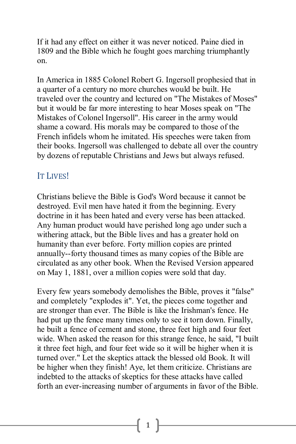If it had any effect on either it was never noticed. Paine died in 1809 and the Bible which he fought goes marching triumphantly on.

In America in 1885 Colonel Robert G. Ingersoll prophesied that in a quarter of a century no more churches would be built. He traveled over the country and lectured on "The Mistakes of Moses" but it would be far more interesting to hear Moses speak on "The Mistakes of Colonel Ingersoll". His career in the army would shame a coward. His morals may be compared to those of the French infidels whom he imitated. His speeches were taken from their books. Ingersoll was challenged to debate all over the country by dozens of reputable Christians and Jews but always refused.

## IT LIVES!

Christians believe the Bible is God's Word because it cannot be destroyed. Evil men have hated it from the beginning. Every doctrine in it has been hated and every verse has been attacked. Any human product would have perished long ago under such a withering attack, but the Bible lives and has a greater hold on humanity than ever before. Forty million copies are printed annually--forty thousand times as many copies of the Bible are circulated as any other book. When the Revised Version appeared on May 1, 1881, over a million copies were sold that day.

Every few years somebody demolishes the Bible, proves it "false" and completely "explodes it". Yet, the pieces come together and are stronger than ever. The Bible is like the Irishman's fence. He had put up the fence many times only to see it torn down. Finally, he built a fence of cement and stone, three feet high and four feet wide. When asked the reason for this strange fence, he said, "I built it three feet high, and four feet wide so it will be higher when it is turned over." Let the skeptics attack the blessed old Book. It will be higher when they finish! Aye, let them criticize. Christians are indebted to the attacks of skeptics for these attacks have called forth an ever-increasing number of arguments in favor of the Bible.

1